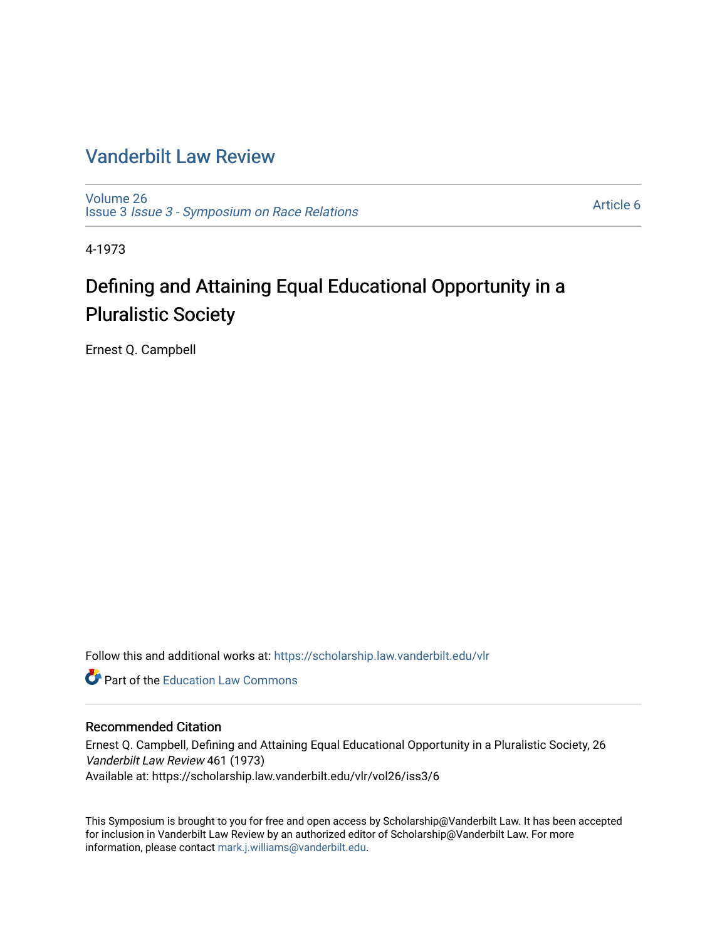# [Vanderbilt Law Review](https://scholarship.law.vanderbilt.edu/vlr)

[Volume 26](https://scholarship.law.vanderbilt.edu/vlr/vol26) Issue 3 [Issue 3 - Symposium on Race Relations](https://scholarship.law.vanderbilt.edu/vlr/vol26/iss3) 

[Article 6](https://scholarship.law.vanderbilt.edu/vlr/vol26/iss3/6) 

4-1973

# Defining and Attaining Equal Educational Opportunity in a Pluralistic Society

Ernest Q. Campbell

Follow this and additional works at: [https://scholarship.law.vanderbilt.edu/vlr](https://scholarship.law.vanderbilt.edu/vlr?utm_source=scholarship.law.vanderbilt.edu%2Fvlr%2Fvol26%2Fiss3%2F6&utm_medium=PDF&utm_campaign=PDFCoverPages)

**C** Part of the Education Law Commons

## Recommended Citation

Ernest Q. Campbell, Defining and Attaining Equal Educational Opportunity in a Pluralistic Society, 26 Vanderbilt Law Review 461 (1973) Available at: https://scholarship.law.vanderbilt.edu/vlr/vol26/iss3/6

This Symposium is brought to you for free and open access by Scholarship@Vanderbilt Law. It has been accepted for inclusion in Vanderbilt Law Review by an authorized editor of Scholarship@Vanderbilt Law. For more information, please contact [mark.j.williams@vanderbilt.edu](mailto:mark.j.williams@vanderbilt.edu).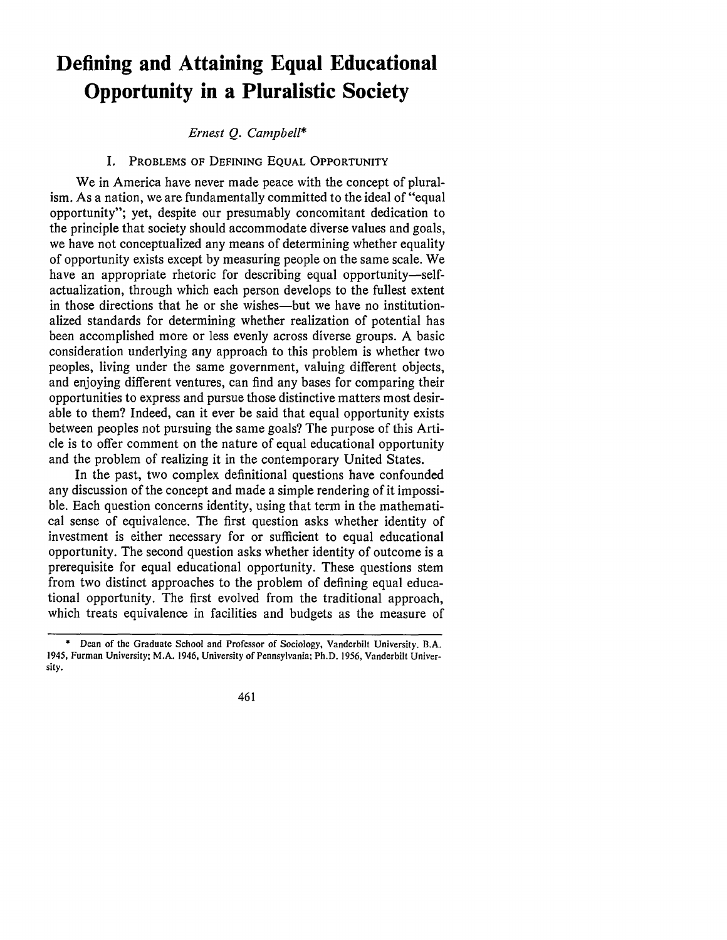# **Defining and Attaining Equal Educational Opportunity in a Pluralistic Society**

#### *Ernest* Q. *Campbell\**

#### I. PROBLEMS OF DEFINING EQUAL OPPORTUNITY

We in America have never made peace with the concept of pluralism. As a nation, we are fundamentally committed to the ideal of "equal opportunity"; yet, despite our presumably concomitant dedication to the principle that society should accommodate diverse values and goals, we have not conceptualized any means of determining whether equality of opportunity exists except by measuring people on the same scale. We have an appropriate rhetoric for describing equal opportunity-selfactualization, through which each person develops to the fullest extent in those directions that he or she wishes—but we have no institutionalized standards for determining whether realization of potential has been accomplished more or less evenly across diverse groups. A basic consideration underlying any approach to this problem is whether two peoples, living under the same government, valuing different objects, and enjoying different ventures, can find any bases for comparing their opportunities to express and pursue those distinctive matters most desirable to them? Indeed, can it ever be said that equal opportunity exists between peoples not pursuing the same goals? The purpose of this Article is to offer comment on the nature of equal educational opportunity and the problem of realizing it in the contemporary United States.

In the past, two complex definitional questions have confounded any discussion of the concept and made a simple rendering of it impossible. Each question concerns identity, using that term in the mathematical sense of equivalence. The first question asks whether identity of investment is either necessary for or sufficient to equal educational opportunity. The second question asks whether identity of outcome is a prerequisite for equal educational opportunity. These questions stem from two distinct approaches to the problem of defining equal educational opportunity. The first evolved from the traditional approach, which treats equivalence in facilities and budgets as the measure of

461

<sup>\*</sup> Dean of the Graduate School and Professor of Sociology, Vanderbilt University. B.A. 1945, Furman University; M.A. 1946, University of Pennsylvania; Ph.D. **1956,** Vanderbilt University.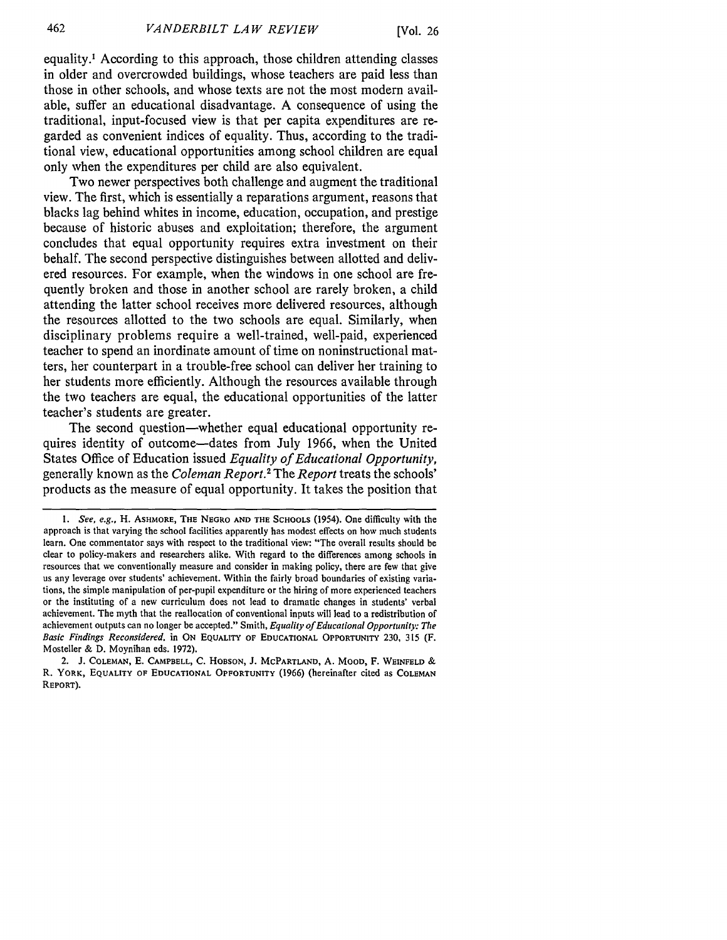equality.' According to this approach, those children attending classes in older and overcrowded buildings, whose teachers are paid less than those in other schools, and whose texts are not the most modern available, suffer an educational disadvantage. A consequence of using the traditional, input-focused view is that per capita expenditures are regarded as convenient indices of equality. Thus, according to the traditional view, educational opportunities among school children are equal only when the expenditures per child are also equivalent.

Two newer perspectives both challenge and augment the traditional view. The first, which is essentially a reparations argument, reasons that blacks lag behind whites in income, education, occupation, and prestige because of historic abuses and exploitation; therefore, the argument concludes that equal opportunity requires extra investment on their behalf. The second perspective distinguishes between allotted and delivered resources. For example, when the windows in one school are frequently broken and those in another school are rarely broken, a child attending the latter school receives more delivered resources, although the resources allotted to the two schools are equal. Similarly, when disciplinary problems require a well-trained, well-paid, experienced teacher to spend an inordinate amount of time on noninstructional matters, her counterpart in a trouble-free school can deliver her training to her students more efficiently. Although the resources available through the two teachers are equal, the educational opportunities of the latter teacher's students are greater.

The second question—whether equal educational opportunity requires identity of outcome-dates from July 1966, when the United States Office of Education issued *Equality of Educational Opportunity,* generally known as the *Coleman Report.2* The *Report* treats the schools' products as the measure of equal opportunity. It takes the position that

2. **J. COLEMAN, E. CAMPBELL,** C. **HOBSON, J.** MCPARTLAND, **A.** MOOD, F. **WEINFELD** *&* R. YORK, **EQUALITY OF EDUCATIONAL** OPPORTUNITY (1966) (hereinafter cited as **COLEMAN** REPORT).

*<sup>1.</sup> See, e.g.,* **H.** ASHMORE, **THE NEGRO AND THE SCHOOLS** (1954). One difficulty with the approach is that varying the school facilities apparently has modest effects on how much students learn. One commentator says with respect to the traditional view: "The overall results should be clear to policy-makers and researchers alike. With regard to the differences among schools in resources that we conventionally measure and consider in making policy, there are few that give us any leverage over students' achievement. Within the fairly broad boundaries of existing variations, the simple manipulation of per-pupil expenditure or the hiring of more experienced teachers or the instituting of a new curriculum does not lead to dramatic changes in students' verbal achievement. The myth that the reallocation of conventional inputs will lead to a redistribution of achievement outputs can no longer be accepted." Smith, *Equality of Educational Opportunity: The Basic Findings Reconsidered,* in ON **EQUALITY** OF **EDUCATIONAL OPPORTUNITY** 230, **315** (F. Mosteller & D. Moynihan eds. 1972).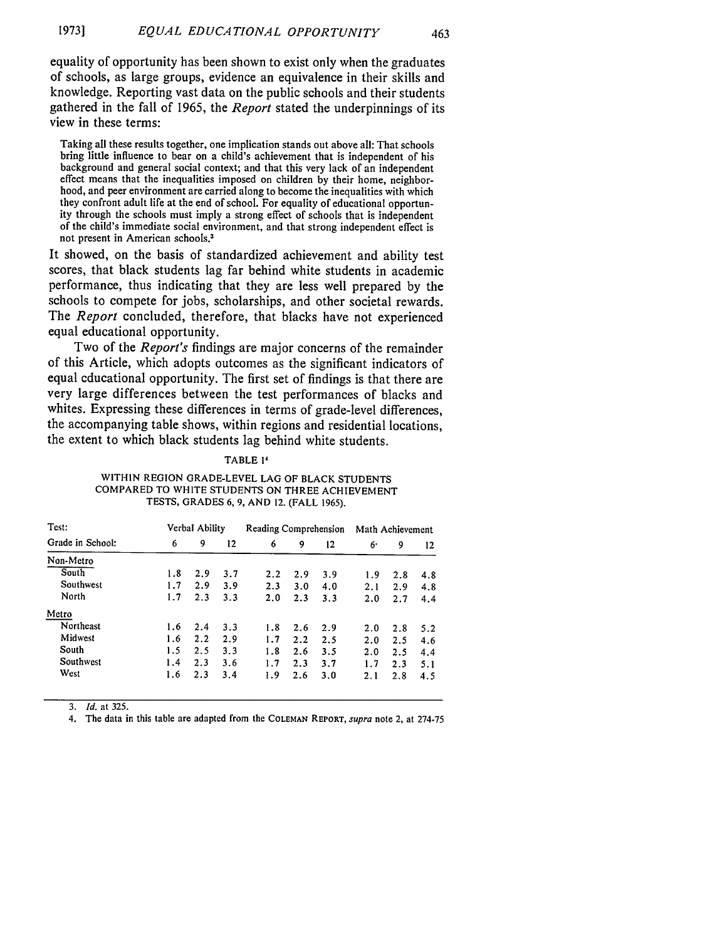equality of opportunity has been shown to exist only when the graduates of schools, as large groups, evidence an equivalence in their skills and knowledge. Reporting vast data on the public schools and their students gathered in the fall of 1965, the *Report* stated the underpinnings of its view in these terms:

463

Taking all these results together, one implication stands out above all: That schools bring little influence to bear on a child's achievement that is independent of his background and general social context; and that this very lack of an independent effect means that the inequalities imposed on children by their home, neighborhood, and peer environment are carried along to become the inequalities with which they confront adult life at the end of school. For equality of educational opportunity through the schools must imply a strong effect of schools that is independent of the child's immediate social environment, and that strong independent effect is not present in American schools.

It showed, on the basis of standardized achievement and ability test scores, that black students lag far behind white students in academic performance, thus indicating that they are less well prepared by the schools to compete for jobs, scholarships, and other societal rewards. The *Report* concluded, therefore, that blacks have not experienced equal educational opportunity.

Two of the *Report's* findings are major concerns of the remainder of this Article, which adopts outcomes as the significant indicators of equal educational opportunity. The first set of findings is that there are very large differences between the test performances of blacks and whites. Expressing these differences in terms of grade-level differences, the accompanying table shows, within regions and residential locations, the extent to which black students lag behind white students.

#### TABLE **1**

#### WITHIN **REGION** GRADE-LEVEL **LAG** OF BLACK **STUDENTS** COMPARED TO WHITE **STUDENTS ON** THREE ACHIEVEMENT **TESTS, GRADES 6, 9, AND** 12. (FALL **1965).**

| Test:<br>Grade in School: | Verbal Ability |     |     | Reading Comprehension |     |     | Math Achievement |     |     |
|---------------------------|----------------|-----|-----|-----------------------|-----|-----|------------------|-----|-----|
|                           | 6              | 9   | 12  | 6                     | 9   | 12  | 6.               | 9   | 12  |
| Non-Metro                 |                |     |     |                       |     |     |                  |     |     |
| South                     | 1.8            | 2.9 | 3.7 | 2.2                   | 2.9 | 3.9 | 1.9              | 2.8 | 4.8 |
| Southwest                 | 1.7            | 2.9 | 3.9 | 2.3                   | 3.0 | 4.0 | 2.1              | 2.9 | 4.8 |
| North                     | 1.7            | 2.3 | 3.3 | 2.0                   | 2.3 | 3.3 | 2.0              | 2.7 | 4.4 |
| Metro                     |                |     |     |                       |     |     |                  |     |     |
| Northeast                 | 1.6            | 2.4 | 3.3 | 1.8                   | 2.6 | 2.9 | 2.0              | 2.8 | 5.2 |
| Midwest                   | 1.6            | 2.2 | 2.9 | 1.7                   | 2.2 | 2.5 | 2.0              | 2.5 | 4.6 |
| South                     | 1.5            | 2.5 | 3.3 | 1.8                   | 2.6 | 3.5 | 2.0              | 2.5 | 4.4 |
| Southwest                 | 1.4            | 2.3 | 3.6 | 1.7                   | 2.3 | 3.7 | 1.7              | 2.3 | 5.1 |
| West                      | 1.6            | 2.3 | 3.4 | 1.9                   | 2.6 | 3.0 | 2.1              | 2.8 | 4.5 |

*3. Id.* at 325.

4. The data in this table are adapted from the **COLEMAN REPORT,** *supra* note 2, at 274-75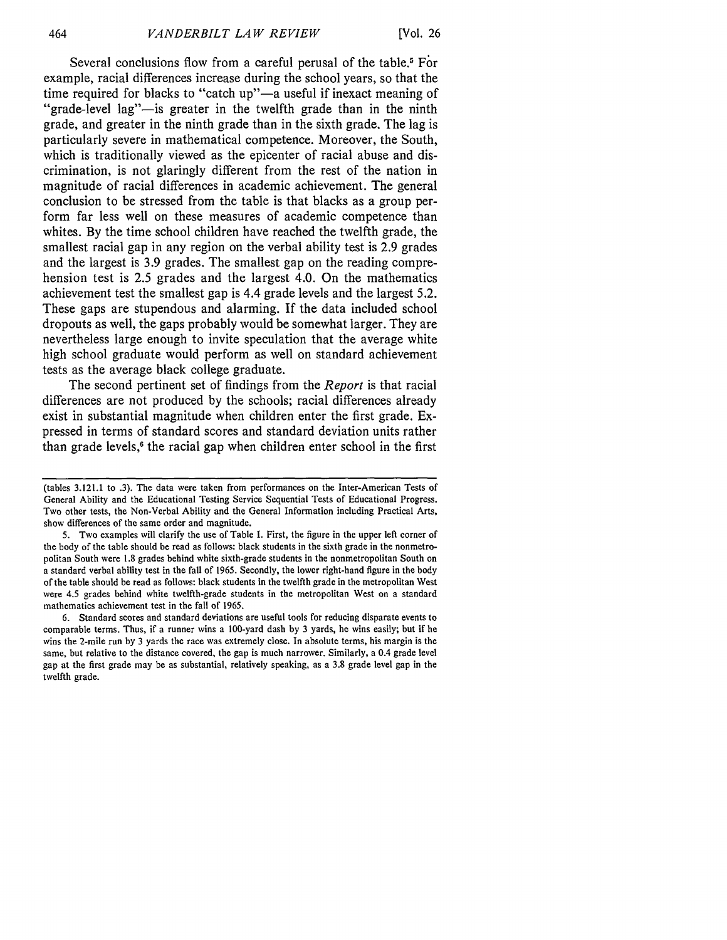Several conclusions flow from a careful perusal of the table.<sup>5</sup> For example, racial differences increase during the school years, so that the time required for blacks to "catch up"-a useful if inexact meaning of "grade-level lag"—is greater in the twelfth grade than in the ninth grade, and greater in the ninth grade than in the sixth grade. The lag is particularly severe in mathematical competence. Moreover, the South, which is traditionally viewed as the epicenter of racial abuse and discrimination, is not glaringly different from the rest of the nation in magnitude of racial differences in academic achievement. The general conclusion to be stressed from the table is that blacks as a group perform far less well on these measures of academic competence than whites. **By** the time school children have reached the twelfth grade, the smallest racial gap in any region on the verbal ability test is **2.9** grades and the largest is **3.9** grades. The smallest gap on the reading comprehension test is **2.5** grades and the largest 4.0. On the mathematics achievement test the smallest gap is 4.4 grade levels and the largest **5.2.** These gaps are stupendous and alarming. **If** the data included school dropouts as well, the gaps probably would be somewhat larger. They are nevertheless large enough to invite speculation that the average white high school graduate would perform as well on standard achievement tests as the average black college graduate.

The second pertinent set of findings from the *Report* is that racial differences are not produced **by** the schools; racial differences already exist in substantial magnitude when children enter the first grade. Expressed in terms of standard scores and standard deviation units rather than grade levels, $6$  the racial gap when children enter school in the first

**6.** Standard scores and standard deviations are useful tools for reducing disparate events to comparable terms. Thus, if a runner wins a 100-yard dash **by 3** yards, he wins easily; but if he wins the 2-mile run **by 3** yards the race was extremely close. In absolute terms, his margin is the same, but relative to the distance covered, the gap is much narrower. Similarly, a 0.4 grade level gap at the first grade may be as substantial, relatively speaking, as a **3.8** grade level gap in the twelfth grade.

<sup>(</sup>tables **3.121.1** to **.3).** The data were taken from performances on the Inter-American Tests of General Ability and the Educational Testing Service Sequential Tests of Educational Progress. Two other tests, the Non-Verbal Ability and the General Information including Practical Arts, show differences of the same order and magnitude.

**<sup>5.</sup>** Two examples will clarify the use of Table **I.** First, the figure in the upper left corner of the body of the table should be read as follows: black students in the sixth grade in the nonmetropolitan South were **1.8** grades behind white sixth-grade students in the nonmetropolitan South on a standard verbal ability test in the fall of **1965.** Secondly, the lower right-hand figure in the body of the table should be read as follows: black students in the twelfth grade in the metropolitan West were **4.5** grades behind white twelfth-grade students in the metropolitan West on a standard mathematics achievement test in the fall of **1965.**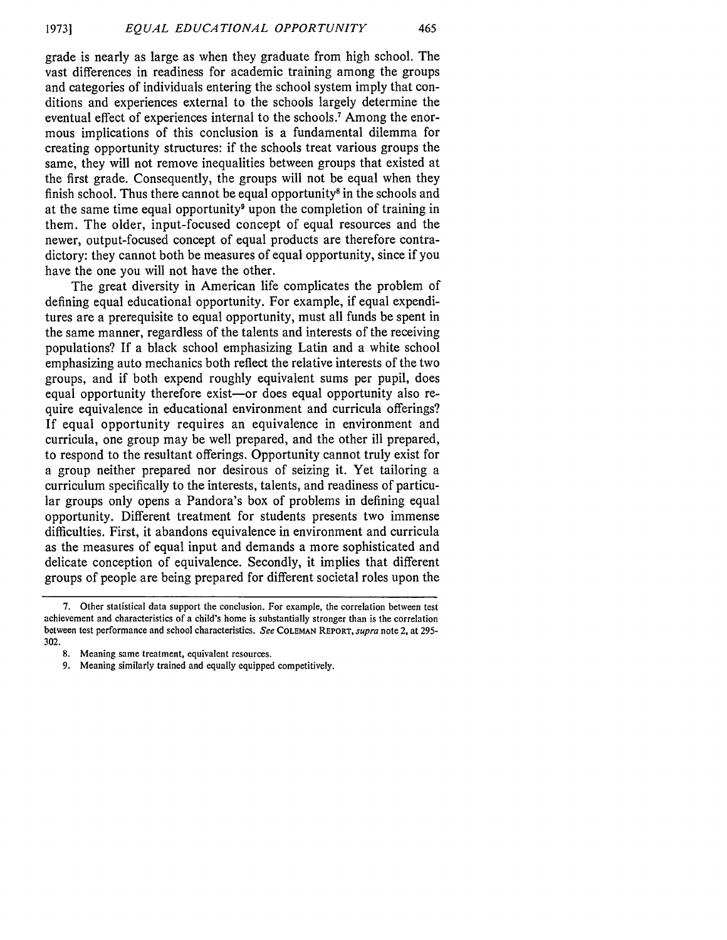grade is nearly as large as when they graduate from high school. The vast differences in readiness for academic training among the groups and categories of individuals entering the school system imply that conditions and experiences external to the schools largely determine the eventual effect of experiences internal to the schools.7 Among the enormous implications of this conclusion is a fundamental dilemma for creating opportunity structures: if the schools treat various groups the same, they will not remove inequalities between groups that existed at the first grade. Consequently, the groups will not be equal when they finish school. Thus there cannot be equal opportunity<sup>8</sup> in the schools and at the same time equal opportunity' upon the completion of training in them. The older, input-focused concept of equal resources and the newer, output-focused concept of equal products are therefore contradictory: they cannot both be measures of equal opportunity, since if you have the one you will not have the other.

The great diversity in American life complicates the problem of defining equal educational opportunity. For example, if equal expenditures are a prerequisite to equal opportunity, must all funds be spent in the same manner, regardless of the talents and interests of the receiving populations? If a black school emphasizing Latin and a white school emphasizing auto mechanics both reflect the relative interests of the two groups, and if both expend roughly equivalent sums per pupil, does equal opportunity therefore exist-or does equal opportunity also require equivalence in educational environment and curricula offerings? If equal opportunity requires an equivalence in environment and curricula, one group may be well prepared, and the other ill prepared, to respond to the resultant offerings. Opportunity cannot truly exist for a group neither prepared nor desirous of seizing it. Yet tailoring a curriculum specifically to the interests, talents, and readiness of particular groups only opens a Pandora's box of problems in defining equal opportunity. Different treatment for students presents two immense difficulties. First, it abandons equivalence in environment and curricula as the measures of equal input and demands a more sophisticated and delicate conception of equivalence. Secondly, it implies that different groups of people are being prepared for different societal roles upon the

- 8. Meaning same treatment, equivalent resources.
- 9. Meaning similarly trained and equally equipped competitively.

<sup>7.</sup> Other statistical data support the conclusion. For example, the correlation between test achievement and characteristics of a child's home is substantially stronger than is the correlation between test performance and school characteristics. *See* **COLEMAN** REPORT, *supra* note 2, at 295- 302.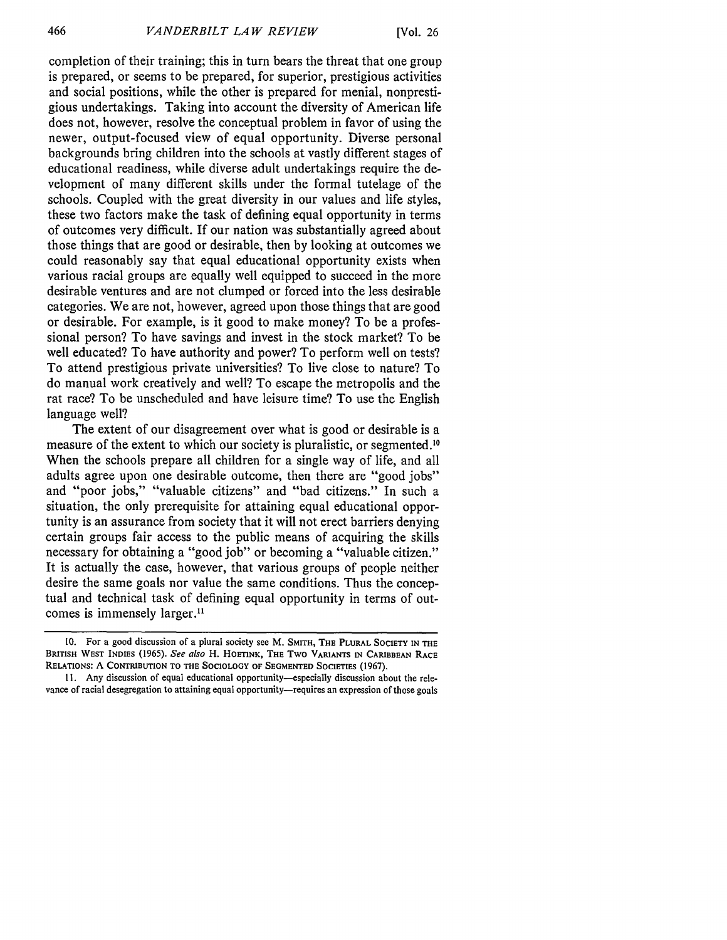completion of their training; this in turn bears the threat that one group is prepared, or seems to be prepared, for superior, prestigious activities and social positions, while the other is prepared for menial, nonprestigious undertakings. Taking into account the diversity of American life does not, however, resolve the conceptual problem in favor of using the newer, output-focused view of equal opportunity. Diverse personal backgrounds bring children into the schools at vastly different stages of educational readiness, while diverse adult undertakings require the development of many different skills under the formal tutelage of the schools. Coupled with the great diversity in our values and life styles, these two factors make the task of defining equal opportunity in terms of outcomes very difficult. If our nation was substantially agreed about those things that are good or desirable, then by looking at outcomes we could reasonably say that equal educational opportunity exists when various racial groups are equally well equipped to succeed in the more desirable ventures and are not clumped or forced into the less desirable categories. We are not, however, agreed upon those things that are good or desirable. For example, is it good to make money? To be a professional person? To have savings and invest in the stock market? To be well educated? To have authority and power? To perform well on tests? To attend prestigious private universities? To live close to nature? To do manual work creatively and well? To escape the metropolis and the rat race? To be unscheduled and have leisure time? To use the English language well?

The extent of our disagreement over what is good or desirable is a measure of the extent to which our society is pluralistic, or segmented."0 When the schools prepare all children for a single way of life, and all adults agree upon one desirable outcome, then there are "good jobs" and "poor jobs," "valuable citizens" and "bad citizens." In such a situation, the only prerequisite for attaining equal educational opportunity is an assurance from society that it will not erect barriers denying certain groups fair access to the public means of acquiring the skills necessary for obtaining a "good job" or becoming a "valuable citizen." It is actually the case, however, that various groups of people neither desire the same goals nor value the same conditions. Thus the conceptual and technical task of defining equal opportunity in terms of outcomes is immensely larger.<sup>11</sup>

**<sup>10.</sup>** For a good discussion of a plural society see M. **SMITH, THE PLURAL SOCIETY IN THE** BRITISH WEST **INDIES (1965).** See also H. HOETINK, THE Two **VARIANTS IN** CARIBBEAN RACE **RELATIONS:** A **CONTRIBUTION** TO **THE SOCIOLOGY** OF **SEGMENTED SOCIETIES** (1967).

**<sup>11.</sup>** Any discussion of equal educational opportunity-especially discussion about the relevance of racial desegregation to attaining equal opportunity-requires an expression of those goals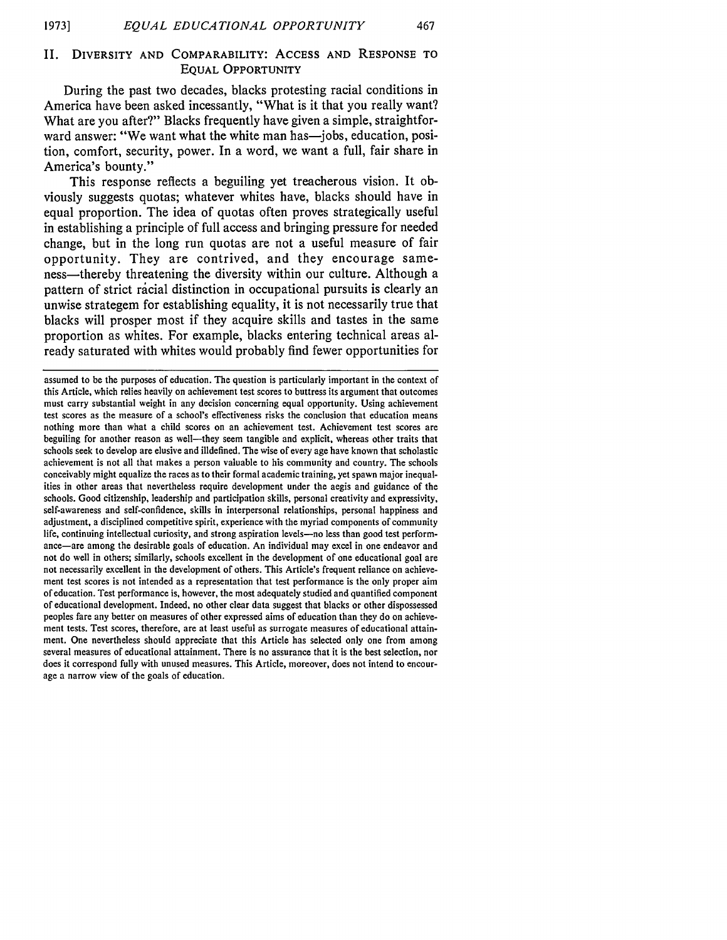#### II. DIVERSITY **AND** COMPARABILITY: **ACCESS AND RESPONSE** TO **EQUAL** OPPORTUNITY

During the past two decades, blacks protesting racial conditions in America have been asked incessantly, "What is it that you really want? What are you after?" Blacks frequently have given a simple, straightforward answer: "We want what the white man has—jobs, education, position, comfort, security, power. In a word, we want a full, fair share in America's bounty."

This response reflects a beguiling yet treacherous vision. It obviously suggests quotas; whatever whites have, blacks should have in equal proportion. The idea of quotas often proves strategically useful in establishing a principle of full access and bringing pressure for needed change, but in the long run quotas are not a useful measure of fair opportunity. They are contrived, and they encourage sameness—thereby threatening the diversity within our culture. Although a pattern of strict racial distinction in occupational pursuits is clearly an unwise strategem for establishing equality, it is not necessarily true that blacks will prosper most if they acquire skills and tastes in the same proportion as whites. For example, blacks entering technical areas already saturated with whites would probably find fewer opportunities for

assumed to be the purposes of education. The question is particularly important in the context of this Article, which relies heavily on achievement test scores to buttress its argument that outcomes must carry substantial weight in any decision concerning equal opportunity. Using achievement test scores as the measure of a school's effectiveness risks the conclusion that education means nothing more than what a child scores on an achievement test. Achievement test scores are beguiling for another reason as well—they seem tangible and explicit, whereas other traits that schools seek to develop are elusive and illdefined. The wise of every age have known that scholastic achievement is not all that makes a person valuable to his community and country. The schools conceivably might equalize the races as to their formal academic training, yet spawn major inequalities in other areas that nevertheless require development under the aegis and guidance of the schools. Good citizenship, leadership and participation skills, personal creativity and expressivity, self-awareness and self-confidence, skills in interpersonal relationships, personal happiness and adjustment, a disciplined competitive spirit, experience with the myriad components of community life, continuing intellectual curiosity, and strong aspiration levels-no less than good test performance-are among the desirable goals of education. An individual may excel in one endeavor and not do well in others; similarly, schools excellent in the development of one educational goal are not necessarily excellent in the development of others. This Article's frequent reliance on achievement test scores is not intended as a representation that test performance is the only proper aim of education. Test performance is, however, the most adequately studied and quantified component of educational development. Indeed, no other clear data suggest that blacks or other dispossessed peoples fare any better on measures of other expressed aims of education than they do on achievement tests. Test scores, therefore, are at least useful as surrogate measures of educational attainment. One nevertheless should appreciate that this Article has selected only one from among several measures of educational attainment. There is no assurance that it is the best selection, nor does it correspond fully with unused measures. This Article, moreover, does not intend to encourage a narrow view of the goals of education.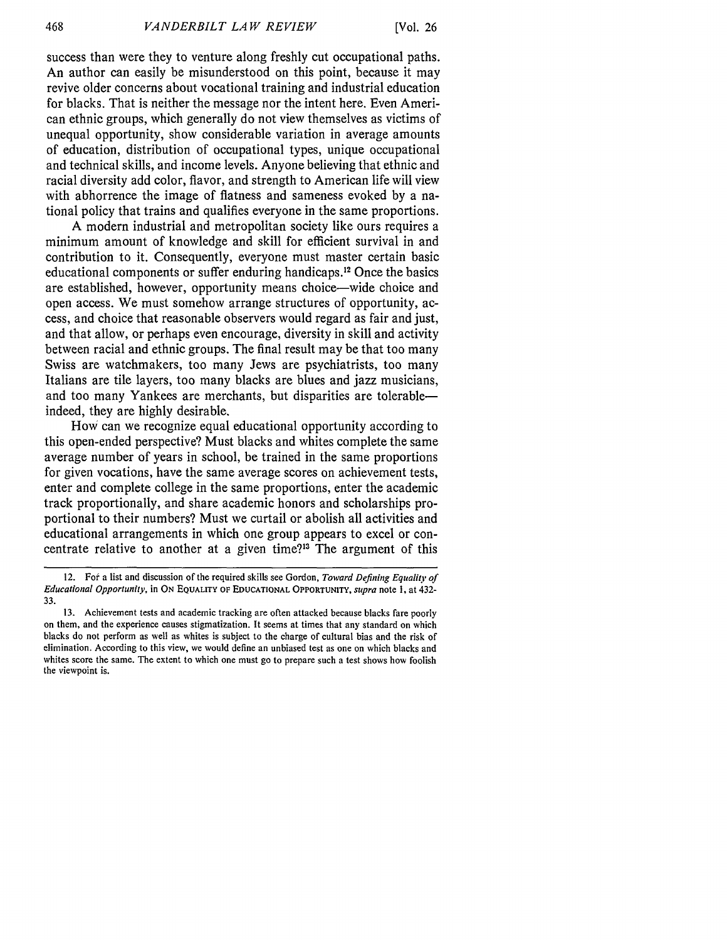success than were they to venture along freshly cut occupational paths. An author can easily be misunderstood on this point, because it may revive older concerns about vocational training and industrial education for blacks. That is neither the message nor the intent here. Even American ethnic groups, which generally do not view themselves as victims of unequal opportunity, show considerable variation in average amounts of education, distribution of occupational types, unique occupational and technical skills, and income levels. Anyone believing that ethnic and racial diversity add color, flavor, and strength to American life will view with abhorrence the image of flatness and sameness evoked by a national policy that trains and qualifies everyone in the same proportions.

A modern industrial and metropolitan society like ours requires a minimum amount of knowledge and skill for efficient survival in and contribution to it. Consequently, everyone must master certain basic educational components or suffer enduring handicaps.12 Once the basics are established, however, opportunity means choice-wide choice and open access. We must somehow arrange structures of opportunity, access, and choice that reasonable observers would regard as fair and just, and that allow, or perhaps even encourage, diversity in skill and activity between racial and ethnic groups. The final result may be that too many Swiss are watchmakers, too many Jews are psychiatrists, too many Italians are tile layers, too many blacks are blues and jazz musicians, and too many Yankees are merchants, but disparities are tolerableindeed, they are highly desirable.

How can we recognize equal educational opportunity according to this open-ended perspective? Must blacks and whites complete the same average number of years in school, be trained in the same proportions for given vocations, have the same average scores on achievement tests, enter and complete college in the same proportions, enter the academic track proportionally, and share academic honors and scholarships proportional to their numbers? Must we curtail or abolish all activities and educational arrangements in which one group appears to excel or concentrate relative to another at a given time?<sup>13</sup> The argument of this

<sup>12.</sup> For a list and discussion of the required skills see Gordon, *Toward Defining Equality of Educational Opportunity,* in ON **EQUALITY OF EDUCATIONAL OPPORTUNITY,** *supra* note **1,** at 432- 33.

<sup>13.</sup> Achievement tests and academic tracking are often attacked because blacks fare poorly on them, and the experience causes stigmatization. It seems at times that any standard on which blacks do not perform as well as whites is subject to the charge of cultural bias and the risk of elimination. According to this view, we would define an unbiased test as one on which blacks and whites score the same. The extent to which one must go to prepare such a test shows how foolish the viewpoint is.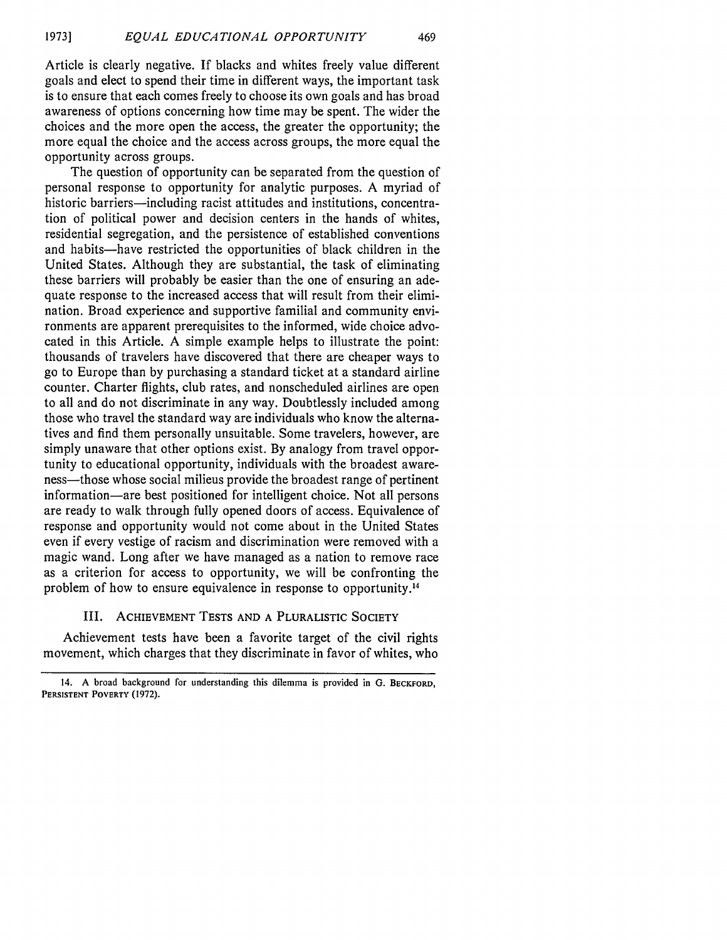Article is clearly negative. If blacks and whites freely value different goals and elect to spend their time in different ways, the important task is to ensure that each comes freely to choose its own goals and has broad awareness of options concerning how time may be spent. The wider the choices and the more open the access, the greater the opportunity; the more equal the choice and the access across groups, the more equal the opportunity across groups.

The question of opportunity can be separated from the question of personal response to opportunity for analytic purposes. A myriad of historic barriers—including racist attitudes and institutions, concentration of political power and decision centers in the hands of whites, residential segregation, and the persistence of established conventions and habits-have restricted the opportunities of black children in the United States. Although they are substantial, the task of eliminating these barriers will probably be easier than the one of ensuring an adequate response to the increased access that will result from their elimination. Broad experience and supportive familial and community environments are apparent prerequisites to the informed, wide choice advocated in this Article. A simple example helps to illustrate the point: thousands of travelers have discovered that there are cheaper ways to go to Europe than by purchasing a standard ticket at a standard airline counter. Charter flights, club rates, and nonscheduled airlines are open to all and do not discriminate in any way. Doubtlessly included among those who travel the standard way are individuals who know the alternatives and find them personally unsuitable. Some travelers, however, are simply unaware that other options exist. By analogy from travel opportunity to educational opportunity, individuals with the broadest awareness—those whose social milieus provide the broadest range of pertinent information-are best positioned for intelligent choice. Not all persons are ready to walk through fully opened doors of access. Equivalence of response and opportunity would not come about in the United States even if every vestige of racism and discrimination were removed with a magic wand. Long after we have managed as a nation to remove race as a criterion for access to opportunity, we will be confronting the problem of how to ensure equivalence in response to opportunity.'<sup>4</sup>

### III. **ACHIEVEMENT TESTS AND A** PLURALISTIC SOCIETY

Achievement tests have been a favorite target of the civil rights movement, which charges that they discriminate in favor of whites, who

<sup>14.</sup> **A** broad background for understanding this dilemma is provided in **G.** BECKFORD, **PERSISTENT POVERTY (1972).**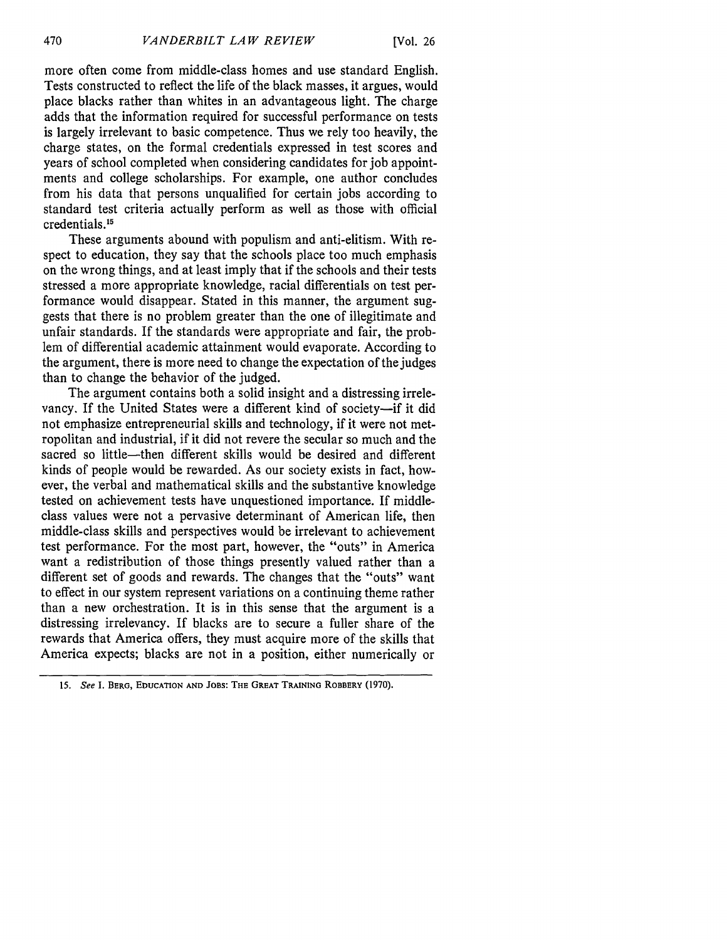more often come from middle-class homes and use standard English. Tests constructed to reflect the life of the black masses, it argues, would place blacks rather than whites in an advantageous light. The charge adds that the information required for successful performance on tests is largely irrelevant to basic competence. Thus we rely too heavily, the charge states, on the formal credentials expressed in test scores and years of school completed when considering candidates for job appointments and college scholarships. For example, one author concludes from his data that persons unqualified for certain jobs according to standard test criteria actually perform as well as those with official credentials.15

These arguments abound with populism and anti-elitism. With respect to education, they say that the schools place too much emphasis on the wrong things, and at least imply that if the schools and their tests stressed a more appropriate knowledge, racial differentials on test performance would disappear. Stated in this manner, the argument suggests that there is no problem greater than the one of illegitimate and unfair standards. If the standards were appropriate and fair, the problem of differential academic attainment would evaporate. According to the argument, there is more need to change the expectation of the judges than to change the behavior of the judged.

The argument contains both a solid insight and a distressing irrelevancy. If the United States were a different kind of society-if it did not emphasize entrepreneurial skills and technology, if it were not metropolitan and industrial, if it did not revere the secular so much and the sacred so little-then different skills would be desired and different kinds of people would be rewarded. As our society exists in fact, however, the verbal and mathematical skills and the substantive knowledge tested on achievement tests have unquestioned importance. If middleclass values were not a pervasive determinant of American life, then middle-class skills and perspectives would be irrelevant to achievement test performance. For the most part, however, the "outs" in America want a redistribution of those things presently valued rather than a different set of goods and rewards. The changes that the "outs" want to effect in our system represent variations on a continuing theme rather than a new orchestration. It is in this sense that the argument is a distressing irrelevancy. If blacks are to secure a fuller share of the rewards that America offers, they must acquire more of the skills that America expects; blacks are not in a position, either numerically or

470

**<sup>15.</sup>** See **I. BERG, EDUCATION AND JOBS: THE** GREAT **TRAINING** ROBBERY **(1970).**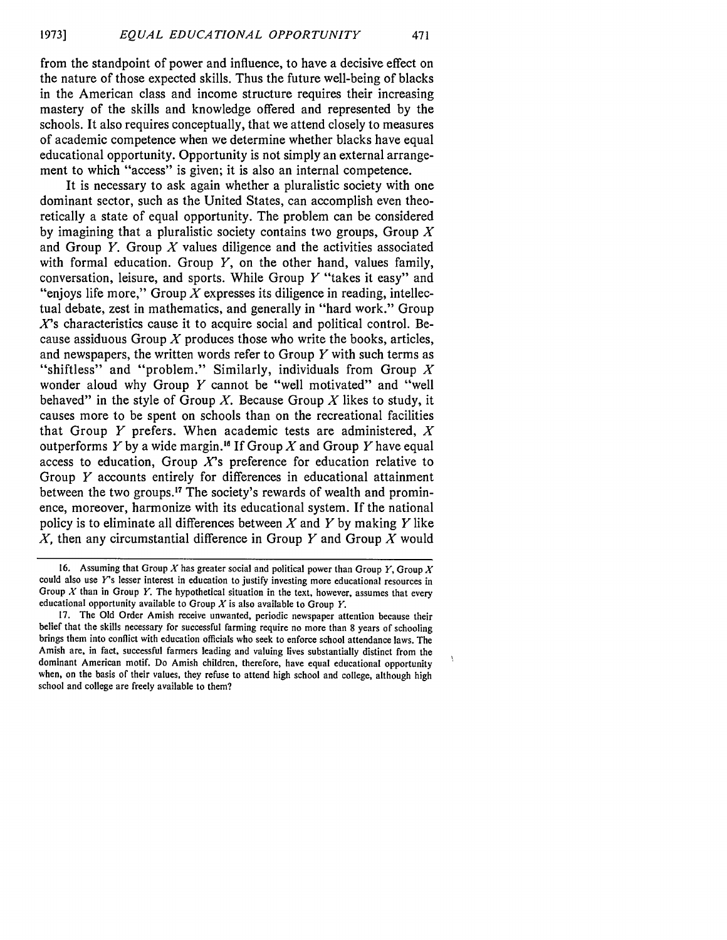from the standpoint of power and influence, to have a decisive effect on the nature of those expected skills. Thus the future well-being of blacks in the American class and income structure requires their increasing mastery of the skills and knowledge offered and represented by the schools. It also requires conceptually, that we attend closely to measures of academic competence when we determine whether blacks have equal educational opportunity. Opportunity is not simply an external arrangement to which "access" is given; it is also an internal competence.

It is necessary to ask again whether a pluralistic society with one dominant sector, such as the United States, can accomplish even theoretically a state of equal opportunity. The problem can be considered by imagining that a pluralistic society contains two groups, Group  $X$ and Group  $Y$ . Group  $X$  values diligence and the activities associated with formal education. Group  $Y$ , on the other hand, values family, conversation, leisure, and sports. While Group  $Y$  "takes it easy" and "enjoys life more," Group X expresses its diligence in reading, intellectual debate, zest in mathematics, and generally in "hard work." Group *X's* characteristics cause it to acquire social and political control. Because assiduous Group  $X$  produces those who write the books, articles, and newspapers, the written words refer to Group *Y* with such terms as "shiftless" and "problem." Similarly, individuals from Group X wonder aloud why Group  $Y$  cannot be "well motivated" and "well behaved" in the style of Group X. Because Group *X* likes to study, it causes more to be spent on schools than on the recreational facilities that Group Y prefers. When academic tests are administered,  $X$ outperforms Y by a wide margin. If Group *X* and Group Y have equal access to education. Group  $X$ 's preference for education relative to Group *Y* accounts entirely for differences in educational attainment between the two groups.<sup>17</sup> The society's rewards of wealth and prominence, moreover, harmonize with its educational system. If the national policy is to eliminate all differences between X and Y by making *Y* like *X,* then any circumstantial difference in Group *Y* and Group X would

<sup>16.</sup> Assuming that Group *X* has greater social and political power than Group *Y,* Group *X* could also use *Y's* lesser interest in education to justify investing more educational resources in Group *X* than in Group Y. The hypothetical situation in the text, however, assumes that every educational opportunity available to Group *X* is also available to Group *Y.*

<sup>17.</sup> The Old Order Amish receive unwanted, periodic newspaper attention because their belief that the skills necessary for successful farming require no more than 8 years of schooling brings them into conflict with education officials who seek to enforce school attendance laws. The Amish are, in fact, successful farmers leading and valuing lives substantially distinct from the dominant American motif. Do Amish children, therefore, have equal educational opportunity when, on the basis of their values, they refuse to attend high school and college, although high school and college are freely available to them?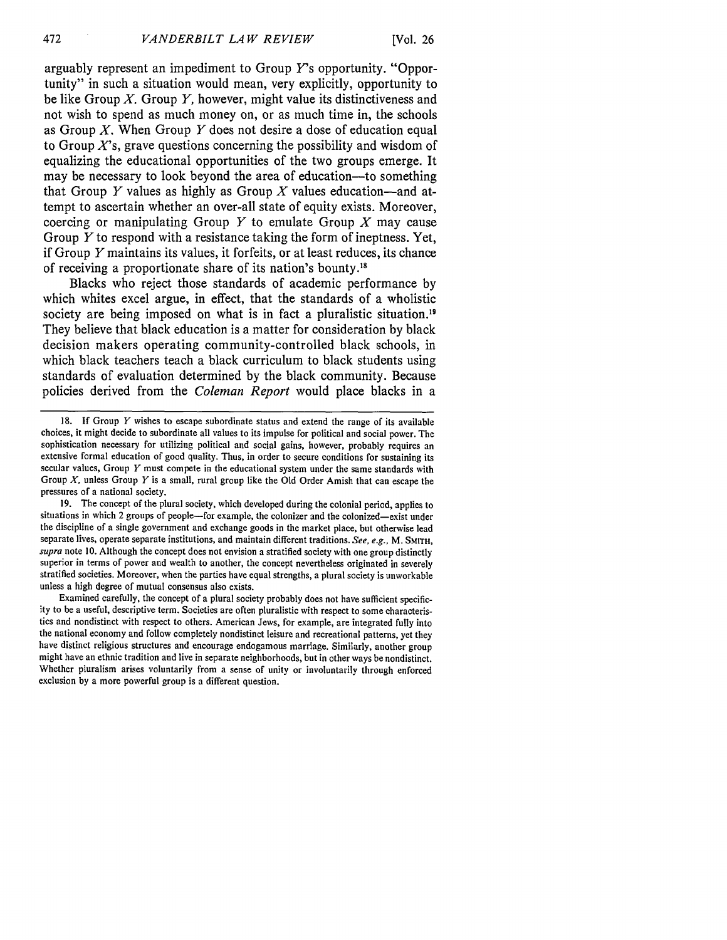arguably represent an impediment to Group *Y's* opportunity. "Opportunity" in such a situation would mean, very explicitly, opportunity to be like Group  $X$ . Group  $Y$ , however, might value its distinctiveness and not wish to spend as much money on, or as much time in, the schools as Group  $X$ . When Group Y does not desire a dose of education equal to Group  $X$ 's, grave questions concerning the possibility and wisdom of equalizing the educational opportunities of the two groups emerge. It may be necessary to look beyond the area of education—to something that Group Y values as highly as Group X values education-and attempt to ascertain whether an over-all state of equity exists. Moreover, coercing or manipulating Group Y to emulate Group *X* may cause Group Y to respond with a resistance taking the form of ineptness. Yet, if Group Y maintains its values, it forfeits, or at least reduces, its chance of receiving a proportionate share of its nation's bounty."

Blacks who reject those standards of academic performance **by** which whites excel argue, in effect, that the standards of a wholistic society are being imposed on what is in fact a pluralistic situation.<sup>19</sup> They believe that black education is a matter for consideration **by** black decision makers operating community-controlled black schools, in which black teachers teach a black curriculum to black students using standards of evaluation determined **by** the black community. Because policies derived from the *Coleman Report* would place blacks in a

19. The concept of the plural society, which developed during the colonial period, applies to situations in which 2 groups of people-for example, the colonizer and the colonized-exist under the discipline of a single government and exchange goods in the market place, but otherwise lead separate lives, operate separate institutions, and maintain different traditions. *See, e.g.,* M. SMITH, *supra* note 10. Although the concept does not envision a stratified society with one group distinctly superior in terms of power and wealth to another, the concept nevertheless originated in severely stratified societies. Moreover, when the parties have equal strengths, a plural society is unworkable unless a high degree of mutual consensus also exists.

Examined carefully, the concept of a plural society probably does not have sufficient specificity to be a useful, descriptive term. Societies are often pluralistic with respect to some characteristics and nondistinct with respect to others. American Jews, for example, are integrated fully into the national economy and follow completely nondistinct leisure and recreational patterns, yet they have distinct religious structures and encourage endogamous marriage. Similarly, another group might have an ethnic tradition and live in separate neighborhoods, but in other ways be nondistinct. Whether pluralism arises voluntarily from a sense of unity or involuntarily through enforced exclusion by a more powerful group is a different question.

<sup>18.</sup> If Group  $Y$  wishes to escape subordinate status and extend the range of its available choices, it might decide to subordinate all values to its impulse for political and social power. The sophistication necessary for utilizing political and social gains, however, probably requires an extensive formal education of good quality. Thus, in order to secure conditions for sustaining its secular values, Group  $Y$  must compete in the educational system under the same standards with Group *X,* unless Group *Y* is a small, rural group like the Old Order Amish that can escape the pressures of a national society.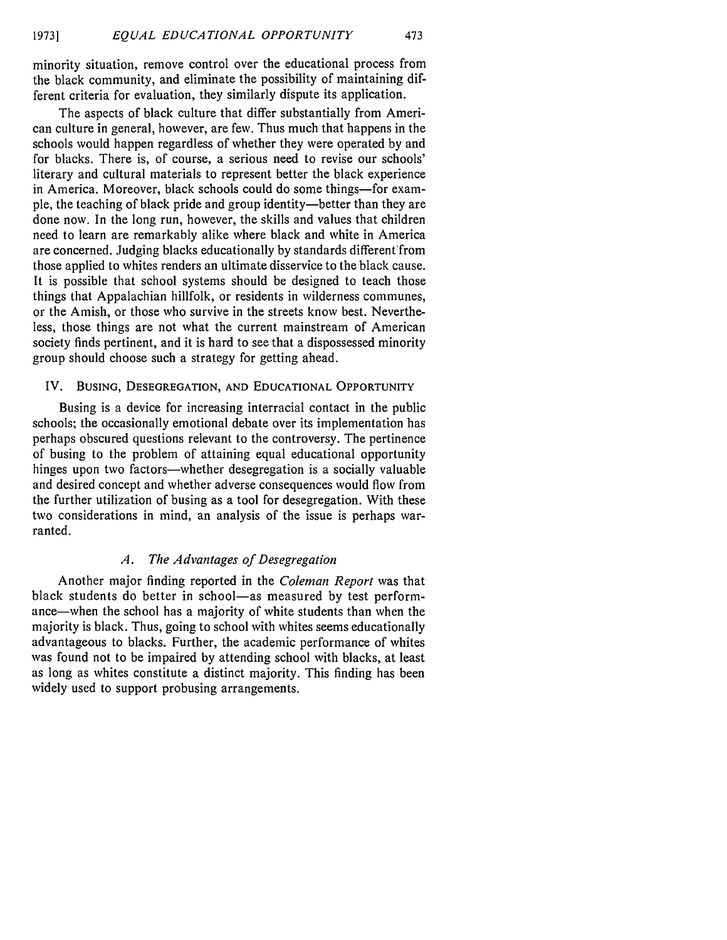minority situation, remove control over the educational process from the black community, and eliminate the possibility of maintaining different criteria for evaluation, they similarly dispute its application.

The aspects of black culture that differ substantially from American culture in general, however, are few. Thus much that happens in the schools would happen regardless of whether they were operated by and for blacks. There is, of course, a serious need to revise our schools' literary and cultural materials to represent better the black experience in America. Moreover, black schools could do some things-for example, the teaching of black pride and group identity-better than they are done now. In the long run, however, the skills and values that children need to learn are remarkably alike where black and white in America are concerned. Judging blacks educationally by standards different'from those applied to whites renders an ultimate disservice to the black cause. It is possible that school systems should be designed to teach those things that Appalachian hillfolk, or residents in wilderness communes, or the Amish, or those who survive in the streets know best. Nevertheless, those things are not what the current mainstream of American society finds pertinent, and it is hard to see that a dispossessed minority group should choose such a strategy for getting ahead.

#### IV. BUSING, DESEGREGATION, **AND EDUCATIONAL** OPPORTUNITY

Busing is a device for increasing interracial contact in the public schools; the occasionally emotional debate over its implementation has perhaps obscured questions relevant to the controversy. The pertinence of busing to the problem of attaining equal educational opportunity hinges upon two factors—whether desegregation is a socially valuable and desired concept and whether adverse consequences would flow from the further utilization of busing as a tool for desegregation. With these two considerations in mind, an analysis of the issue is perhaps warranted.

# *A. The Advantages of Desegregation*

Another major finding reported in the *Coleman Report* was that black students do better in school-as measured by test performance-when the school has a majority of white students than when the majority is black. Thus, going to school with whites seems educationally advantageous to blacks. Further, the academic performance of whites was found not to be impaired by attending school with blacks, at least as long as whites constitute a distinct majority. This finding has been widely used to support probusing arrangements.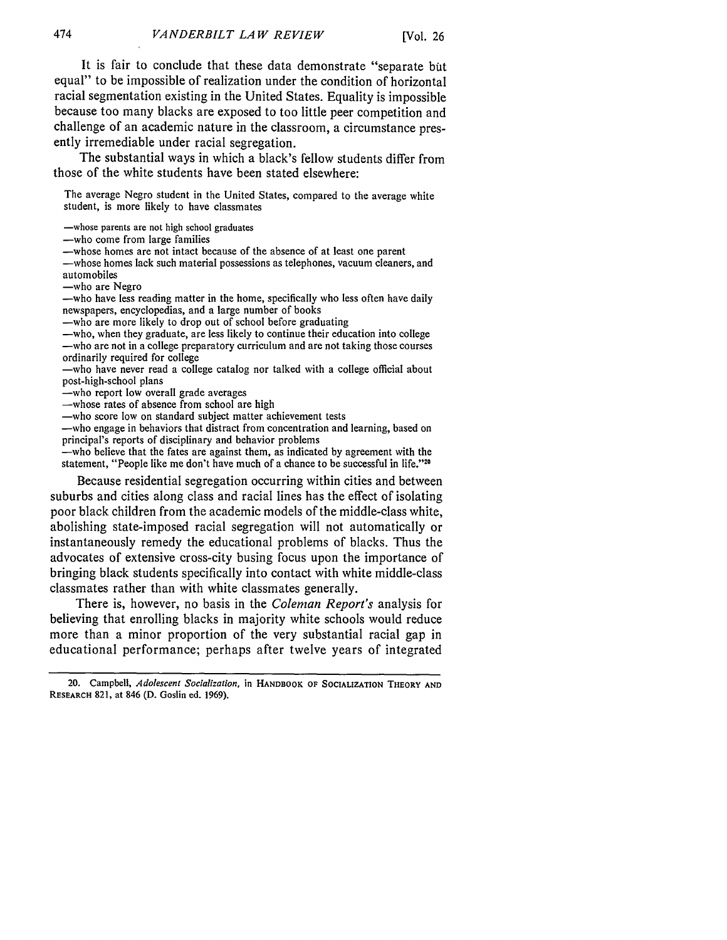It is fair to conclude that these data demonstrate "separate but equal" to be impossible of realization under the condition of horizontal racial segmentation existing in the United States. Equality is impossible because too many blacks are exposed to too little peer competition and challenge of an academic nature in the classroom, a circumstance presently irremediable under racial segregation.

The substantial ways in which a black's fellow students differ from those of the white students have been stated elsewhere:

The average Negro student in the United States, compared to the average white student, is more likely to have classmates

-whose parents are not high school graduates

-who come from large families

-whose homes are not intact because of the absence of at least one parent

-whose homes lack such material possessions as telephones, vacuum cleaners, and automobiles

-who are Negro

-who have less reading matter in the home, specifically who less often have daily newspapers, encyclopedias, and a large number of books

-who are more likely to drop out of school before graduating

-who, when they graduate, are less likely to continue their education into college -who are not in a college preparatory curriculum and are not taking those courses ordinarily required for college

-who have never read a college catalog nor talked with a college official about post-high-school plans

-who report low overall grade averages

-whose rates of absence from school are high

-who score low on standard subject matter achievement tests

-who engage in behaviors that distract from concentration and learning, based on principal's reports of disciplinary and behavior problems

-who believe that the fates are against them, as indicated by agreement with the statement, "People like me don't have much of a chance to be successful in life."<sup>20</sup>

Because residential segregation occurring within cities and between suburbs and cities along class and racial lines has the effect of isolating poor black children from the academic models of the middle-class white, abolishing state-imposed racial segregation will not automatically or instantaneously remedy the educational problems of blacks. Thus the advocates of extensive cross-city busing focus upon the importance of bringing black students specifically into contact with white middle-class classmates rather than with white classmates generally.

There is, however, no basis in the *Coleman Report's* analysis for believing that enrolling blacks in majority white schools would reduce more than a minor proportion of the very substantial racial gap in educational performance; perhaps after twelve years of integrated

**<sup>20.</sup>** Campbell, *Adolescent Socialization,* in **HANDBOOK OF SOCIALIZATION** THEORY **AND** RESEARCH **821,** at 846 (D. Goslin ed. 1969).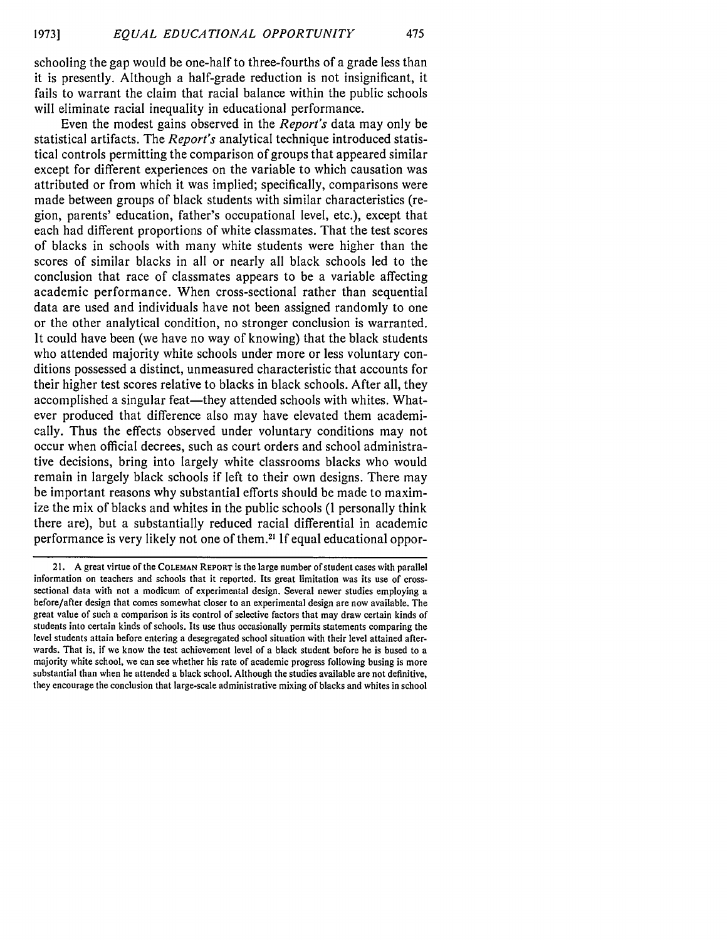schooling the gap would be one-half to three-fourths of a grade less than it is presently. Although a half-grade reduction is not insignificant, it fails to warrant the claim that racial balance within the public schools will eliminate racial inequality in educational performance.

Even the modest gains observed in the *Report's* data may only be statistical artifacts. The *Report's* analytical technique introduced statistical controls permitting the comparison of groups that appeared similar except for different experiences on the variable to which causation was attributed or from which it was implied; specifically, comparisons were made between groups of black students with similar characteristics (region, parents' education, father's occupational level, etc.), except that each had different proportions of white classmates. That the test scores of blacks in schools with many white students were higher than the scores of similar blacks in all or nearly all black schools led to the conclusion that race of classmates appears to be a variable affecting academic performance. When cross-sectional rather than sequential data are used and individuals have not been assigned randomly to one or the other analytical condition, no stronger conclusion is warranted. It could have been (we have no way of knowing) that the black students who attended majority white schools under more or less voluntary conditions possessed a distinct, unmeasured characteristic that accounts for their higher test scores relative to blacks in black schools. After all, they accomplished a singular feat—they attended schools with whites. Whatever produced that difference also may have elevated them academically. Thus the effects observed under voluntary conditions may not occur when official decrees, such as court orders and school administrative decisions, bring into largely white classrooms blacks who would remain in largely black schools if left to their own designs. There may be important reasons why substantial efforts should be made to maximize the mix of blacks and whites in the public schools (I personally think there are), but a substantially reduced racial differential in academic performance is very likely not one of them.21 If equal educational oppor-

<sup>21.</sup> A great virtue of the **COLEMAN** REPORT is the large number of student cases with parallel information on teachers and schools that it reported. Its great limitation was its use of crosssectional data with not a modicum of experimental design. Several newer studies employing a before/after design that comes somewhat closer to an experimental design are now available. The great value of such a comparison is its control of selective factors that may draw certain kinds of students into certain kinds of schools. Its use thus occasionally permits statements comparing the level students attain before entering a desegregated school situation with their level attained afterwards. That is, if we know the test achievement level of a black student before he is bused to a majority white school, we can see whether his rate of academic progress following busing is more substantial than when he attended a black school. Although the studies available are not definitive, they encourage the conclusion that large-scale administrative mixing of blacks and whites in school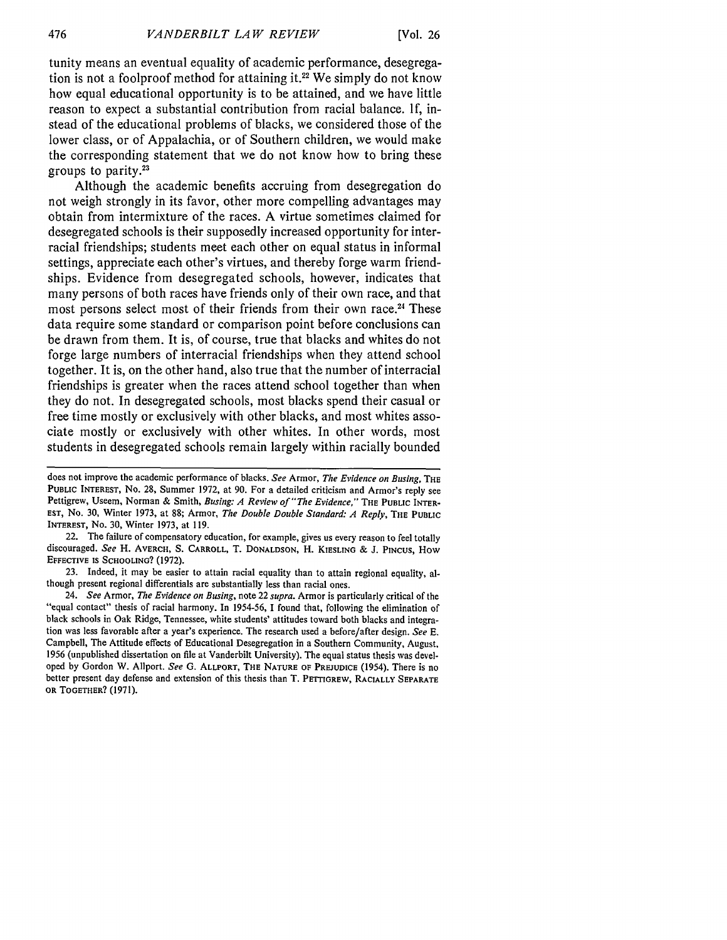tunity means an eventual equality of academic performance, desegregation is not a foolproof method for attaining it.<sup>22</sup> We simply do not know how equal educational opportunity is to be attained, and we have little reason to expect a substantial contribution from racial balance. If, instead of the educational problems of blacks, we considered those of the lower class, or of Appalachia, or of Southern children, we would make the corresponding statement that we do not know how to bring these groups to parity.<sup>23</sup>

Although the academic benefits accruing from desegregation do not weigh strongly in its favor, other more compelling advantages may obtain from intermixture of the races. A virtue sometimes claimed for desegregated schools is their supposedly increased opportunity for interracial friendships; students meet each other on equal status in informal settings, appreciate each other's virtues, and thereby forge warm friendships. Evidence from desegregated schools, however, indicates that many persons of both races have friends only of their own race, and that most persons select most of their friends from their own race.<sup>24</sup> These data require some standard or comparison point before conclusions can be drawn from them. It is, of course, true that blacks and whites do not forge large numbers of interracial friendships when they attend school together. It is, on the other hand, also true that the number of interracial friendships is greater when the races attend school together than when they do not. In desegregated schools, most blacks spend their casual or free time mostly or exclusively with other blacks, and most whites associate mostly or exclusively with other whites. In other words, most students in desegregated schools remain largely within racially bounded

does not improve the academic performance of blacks. *See* Armor, *The Evidence on Busing, THE* **PUBLIC INTEREST,** No. 28, Summer 1972, at 90. For a detailed criticism and Armor's reply see Pettigrew, Useem, Norman & Smith, *Busing: A Review of "The Evidence,"* **THE PUBLIC** INTER-**EST,** No. 30, Winter 1973, at 88; Armor, *The Double Double Standard: A Reply,* THE **PUBLIC** INTEREST, No. 30, Winter 1973, at 119.

<sup>22.</sup> The failure of compensatory education, for example, gives us every reason to feel totally discouraged. *See* H. AVERCH, S. CARROLL, T. **DONALDSON,** H. **KIESLING** & J. **PINCUS,** How **EFFECTIVE IS SCHOOLING?** (1972).

<sup>23.</sup> Indeed, it may be easier to attain racial equality than to attain regional equality, although present regional differentials are substantially less than racial ones.

<sup>24.</sup> *See* Armor, *The Evidence on Busing,* note 22 *supra.* Armor is particularly critical of the "equal contact" thesis of racial harmony. In 1954-56, I found that, following the elimination of black schools in Oak Ridge, Tennessee, white students' attitudes toward both blacks and integration was less favorable after a year's experience. The research used a before/after design. *See E.* Campbell, The Attitude effects of Educational Desegregation in a Southern Community, August. 1956 (unpublished dissertation on file at Vanderbilt University). The equal status thesis was developed **by** Gordon W. Allport. *See* **G.** ALLPORT, THE **NATURE** OF **PREJUDICE** (1954). There is no better present day defense and extension of this thesis than T. PETTIGREW, RACIALLY SEPARATE **OR TOGETHER? (1971).**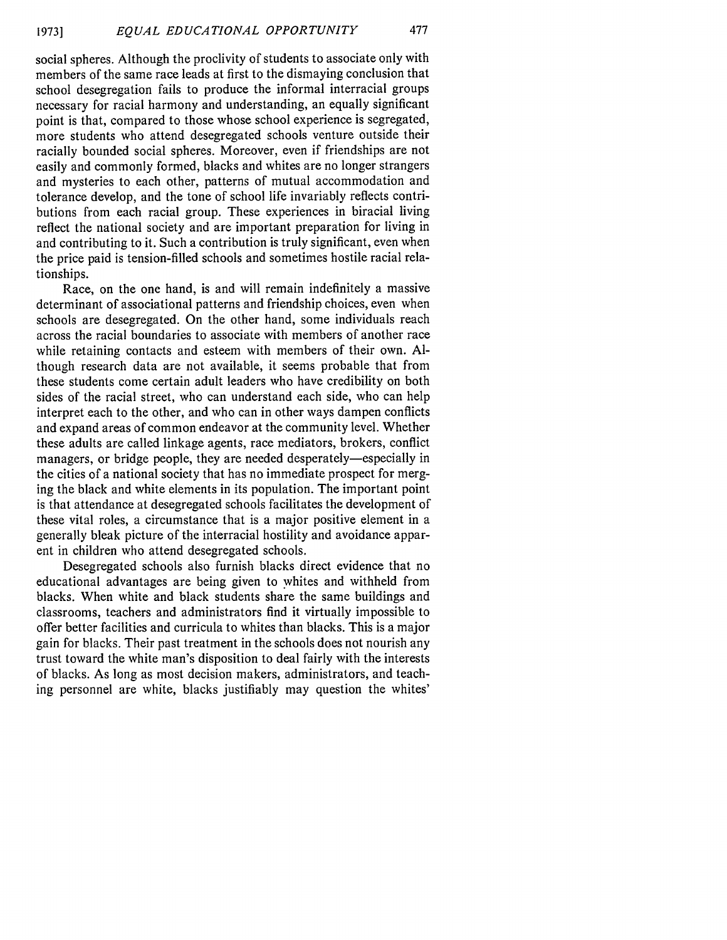social spheres. Although the proclivity of students to associate only with members of the same race leads at first to the dismaying conclusion that school desegregation fails to produce the informal interracial groups necessary for racial harmony and understanding, an equally significant point is that, compared to those whose school experience is segregated, more students who attend desegregated schools venture outside their racially bounded social spheres. Moreover, even if friendships are not easily and commonly formed, blacks and whites are no longer strangers and mysteries to each other, patterns of mutual accommodation and tolerance develop, and the tone of school life invariably reflects contributions from each racial group. These experiences in biracial living reflect the national society and are important preparation for living in and contributing to it. Such a contribution is truly significant, even when the price paid is tension-filled schools and sometimes hostile racial relationships.

Race, on the one hand, is and will remain indefinitely a massive determinant of associational patterns and friendship choices, even when schools are desegregated. On the other hand, some individuals reach across the racial boundaries to associate with members of another race while retaining contacts and esteem with members of their own. Although research data are not available, it seems probable that from these students come certain adult leaders who have credibility on both sides of the racial street, who can understand each side, who can help interpret each to the other, and who can in other ways dampen conflicts and expand areas of common endeavor at the community level. Whether these adults are called linkage agents, race mediators, brokers, conflict managers, or bridge people, they are needed desperately—especially in the cities of a national society that has no immediate prospect for merging the black and white elements in its population. The important point is that attendance at desegregated schools facilitates the development of these vital roles, a circumstance that is a major positive element in a generally bleak picture of the interracial hostility and avoidance apparent in children who attend desegregated schools.

Desegregated schools also furnish blacks direct evidence that no educational advantages are being given to whites and withheld from blacks. When white and black students share the same buildings and classrooms, teachers and administrators find it virtually impossible to offer better facilities and curricula to whites than blacks. This is a major gain for blacks. Their past treatment in the schools does not nourish any trust toward the white man's disposition to deal fairly with the interests of blacks. As long as most decision makers, administrators, and teaching personnel are white, blacks justifiably may question the whites'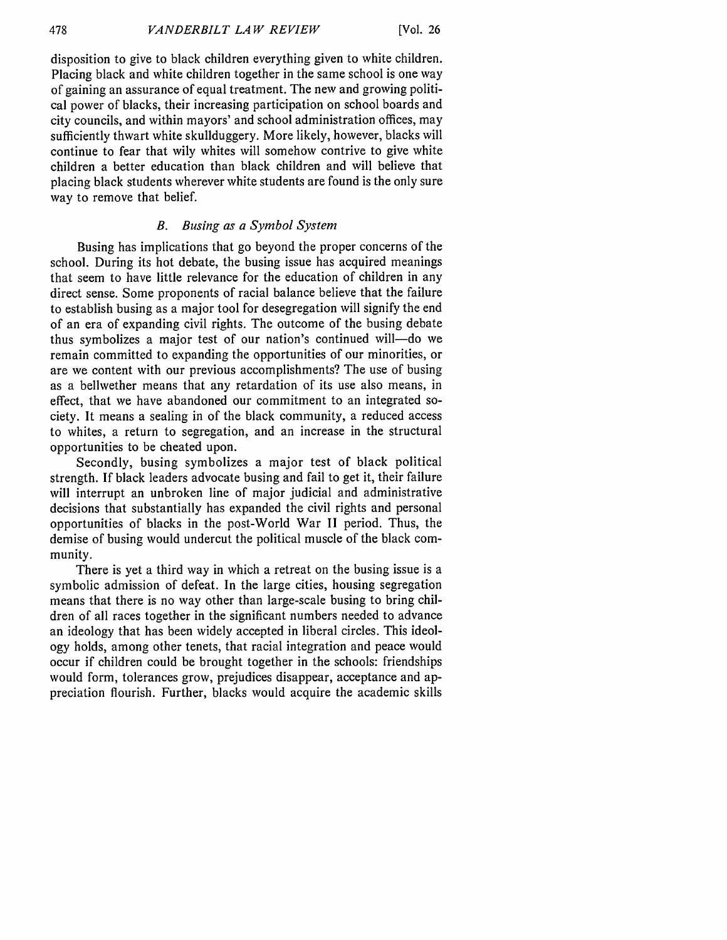disposition to give to black children everything given to white children. Placing black and white children together in the same school is one way of gaining an assurance of equal treatment. The new and growing political power of blacks, their increasing participation on school boards and city councils, and within mayors' and school administration offices, may sufficiently thwart white skullduggery. More likely, however, blacks will continue to fear that wily whites will somehow contrive to give white children a better education than black children and will believe that placing black students wherever white students are found is the only sure way to remove that belief.

## *B. Busing as a Symbol System*

Busing has implications that go beyond the proper concerns of the school. During its hot debate, the busing issue has acquired meanings that seem to have little relevance for the education of children in any direct sense. Some proponents of racial balance believe that the failure to establish busing as a major tool for desegregation will signify the end of an era of expanding civil rights. The outcome of the busing debate thus symbolizes a major test of our nation's continued will-do we remain committed to expanding the opportunities of our minorities, or are we content with our previous accomplishments? The use of busing as a bellwether means that any retardation of its use also means, in effect, that we have abandoned our commitment to an integrated society. It means a sealing in of the black community, a reduced access to whites, a return to segregation, and an increase in the structural opportunities to be cheated upon.

Secondly, busing symbolizes a major test of black political strength. If black leaders advocate busing and fail to get it, their failure will interrupt an unbroken line of major judicial and administrative decisions that substantially has expanded the civil rights and personal opportunities of blacks in the post-World War II period. Thus, the demise of busing would undercut the political muscle of the black community.

There is yet a third way in which a retreat on the busing issue is a symbolic admission of defeat. In the large cities, housing segregation means that there is no way other than large-scale busing to bring children of all races together in the significant numbers needed to advance an ideology that has been widely accepted in liberal circles. This ideology holds, among other tenets, that racial integration and peace would occur if children could be brought together in the schools: friendships would form, tolerances grow, prejudices disappear, acceptance and appreciation flourish. Further, blacks would acquire the academic skills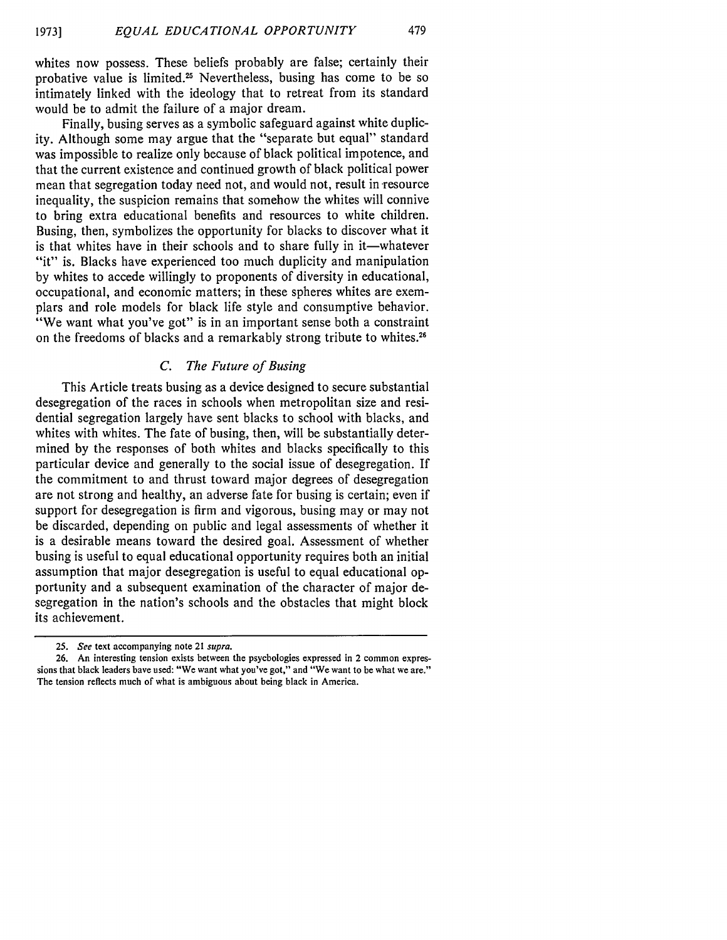whites now possess. These beliefs probably are false; certainly their probative value is limited.25 Nevertheless, busing has come to be so intimately linked with the ideology that to retreat from its standard would be to admit the failure of a major dream.

Finally, busing serves as a symbolic safeguard against white duplicity. Although some may argue that the "separate but equal" standard was impossible to realize only because of black political impotence, and that the current existence and continued growth of black political power mean that segregation today need not, and would not, result in resource inequality, the suspicion remains that somehow the whites will connive to bring extra educational benefits and resources to white children. Busing, then, symbolizes the opportunity for blacks to discover what it is that whites have in their schools and to share fully in it—whatever "it" is. Blacks have experienced too much duplicity and manipulation by whites to accede willingly to proponents of diversity in educational, occupational, and economic matters; in these spheres whites are exemplars and role models for black life style and consumptive behavior. "We want what you've got" is in an important sense both a constraint on the freedoms of blacks and a remarkably strong tribute to whites.<sup>26</sup>

#### *C. The Future of Busing*

This Article treats busing as a device designed to secure substantial desegregation of the races in schools when metropolitan size and residential segregation largely have sent blacks to school with blacks, and whites with whites. The fate of busing, then, will be substantially determined by the responses of both whites and blacks specifically to this particular device and generally to the social issue of desegregation. If the commitment to and thrust toward major degrees of desegregation are not strong and healthy, an adverse fate for busing is certain; even if support for desegregation is firm and vigorous, busing may or may not be discarded, depending on public and legal assessments of whether it is a desirable means toward the desired goal. Assessment of whether busing is useful to equal educational opportunity requires both an initial assumption that major desegregation is useful to equal educational opportunity and a subsequent examination of the character of major desegregation in the nation's schools and the obstacles that might block its achievement.

*<sup>25.</sup> See* text accompanying note 21 *supra.*

<sup>26.</sup> An interesting tension exists between the psychologies expressed in 2 common expressions that black leaders bave used: "We want what you've got," and "We want to be what we are." The tension reflects much of what is ambiguous about being black in America.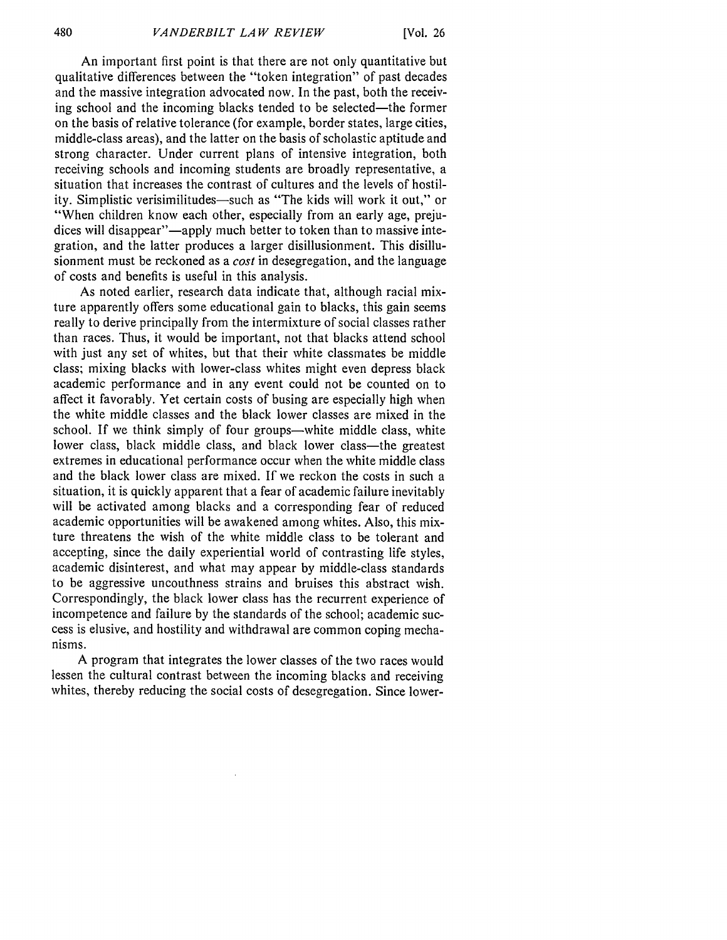An important first point is that there are not only quantitative but qualitative differences between the "token integration" of past decades and the massive integration advocated now. In the past, both the receiving school and the incoming blacks tended to be selected-the former on the basis of relative tolerance (for example, border states, large cities, middle-class areas), and the latter on the basis of scholastic aptitude and strong character. Under current plans of intensive integration, both receiving schools and incoming students are broadly representative, a situation that increases the contrast of cultures and the levels of hostility. Simplistic verisimilitudes-such as "The kids will work it out," or "When children know each other, especially from an early age, prejudices will disappear"—apply much better to token than to massive integration, and the latter produces a larger disillusionment. This disillusionment must be reckoned as a *cost* in desegregation, and the language of costs and benefits is useful in this analysis.

As noted earlier, research data indicate that, although racial mixture apparently offers some educational gain to blacks, this gain seems really to derive principally from the intermixture of social classes rather than races. Thus, it would be important, not that blacks attend school with just any set of whites, but that their white classmates be middle class; mixing blacks with lower-class whites might even depress black academic performance and in any event could not be counted on to affect it favorably. Yet certain costs of busing are especially high when the white middle classes and the black lower classes are mixed in the school. If we think simply of four groups—white middle class, white lower class, black middle class, and black lower class—the greatest extremes in educational performance occur when the white middle class and the black lower class are mixed. If we reckon the costs in such a situation, it is quickly apparent that a fear of academic failure inevitably will be activated among blacks and a corresponding fear of reduced academic opportunities will be awakened among whites. Also, this mixture threatens the wish of the white middle class to be tolerant and accepting, since the daily experiential world of contrasting life styles, academic disinterest, and what may appear by middle-class standards to be aggressive uncouthness strains and bruises this abstract wish. Correspondingly, the black lower class has the recurrent experience of incompetence and failure by the standards of the school; academic success is elusive, and hostility and withdrawal are common coping mechanisms.

A program that integrates the lower classes of the two races would lessen the cultural contrast between the incoming blacks and receiving whites, thereby reducing the social costs of desegregation. Since lower-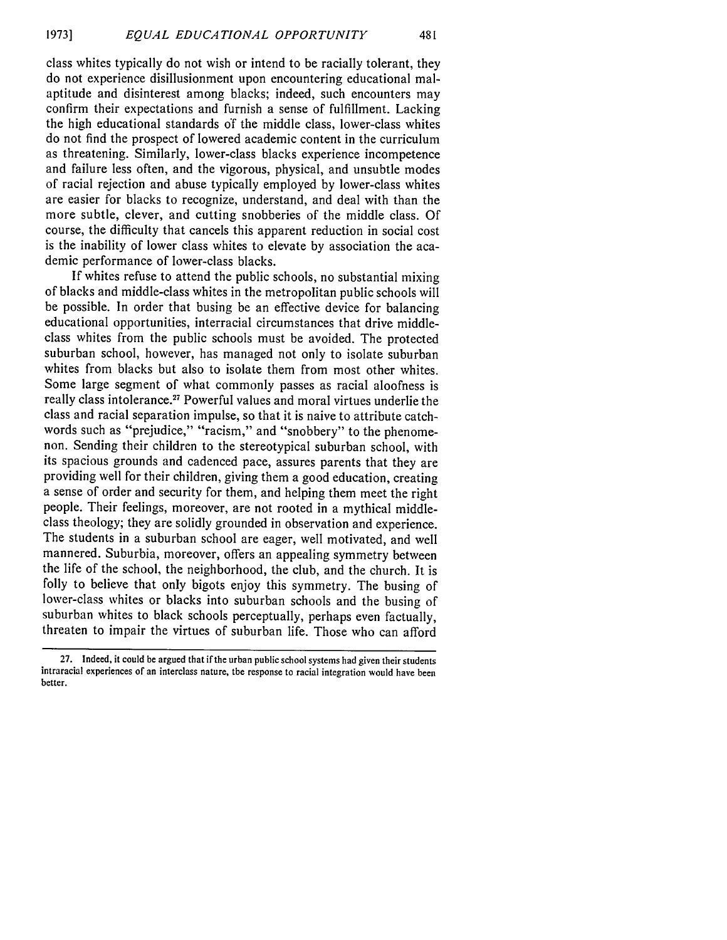class whites typically do not wish or intend to be racially tolerant, they do not experience disillusionment upon encountering educational malaptitude and disinterest among blacks; indeed, such encounters may confirm their expectations and furnish a sense of fulfillment. Lacking the high educational standards of the middle class, lower-class whites do not find the prospect of lowered academic content in the curriculum as threatening. Similarly, lower-class blacks experience incompetence and failure less often, and the vigorous, physical, and unsubtle modes of racial rejection and abuse typically employed by lower-class whites are easier for blacks to recognize, understand, and deal with than the more subtle, clever, and cutting snobberies of the middle class. Of course, the difficulty that cancels this apparent reduction in social cost is the inability of lower class whites to elevate by association the academic performance of lower-class blacks.

If whites refuse to attend the public schools, no substantial mixing of blacks and middle-class whites in the metropolitan public schools will be possible. In order that busing be an effective device for balancing educational opportunities, interracial circumstances that drive middleclass whites from the public schools must be avoided. The protected suburban school, however, has managed not only to isolate suburban whites from blacks but also to isolate them from most other whites. Some large segment of what commonly passes as racial aloofness is really class intolerance.<sup>27</sup> Powerful values and moral virtues underlie the class and racial separation impulse, so that it is naive to attribute catchwords such as "prejudice," "racism," and "snobbery" to the phenomenon. Sending their children to the stereotypical suburban school, with its spacious grounds and cadenced pace, assures parents that they are providing well for their children, giving them a good education, creating a sense of order and security for them, and helping them meet the right people. Their feelings, moreover, are not rooted in a mythical middleclass theology; they are solidly grounded in observation and experience. The students in a suburban school are eager, well motivated, and well mannered. Suburbia, moreover, offers an appealing symmetry between the life of the school, the neighborhood, the club, and the church. It is folly to believe that only bigots enjoy this symmetry. The busing of lower-class whites or blacks into suburban schools and the busing of suburban whites to black schools perceptually, perhaps even factually, threaten to impair the virtues of suburban life. Those who can afford

**<sup>27.</sup>** Indeed, it could be argued that if the urban public school systems **had** given their students intraracial experiences of an interclass nature, the response to racial integration would have been better.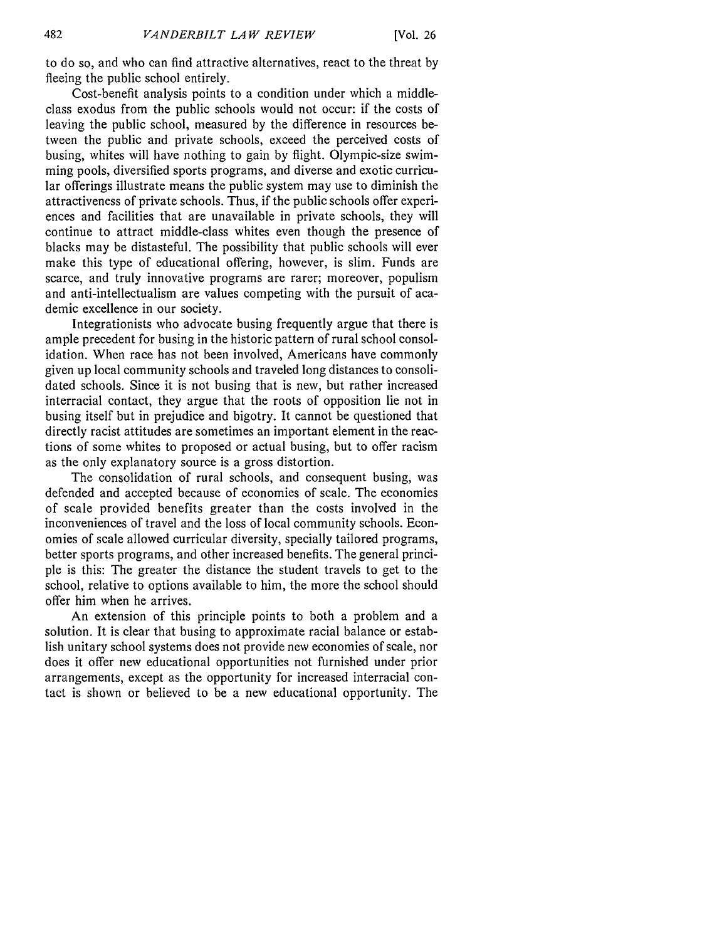[Vol. **26**

to do so, and who can find attractive alternatives, react to the threat by fleeing the public school entirely.

Cost-benefit analysis points to a condition under which a middleclass exodus from the public schools would not occur: if the costs of leaving the public school, measured by the difference in resources between the public and private schools, exceed the perceived costs of busing, whites will have nothing to gain by flight. Olympic-size swimming pools, diversified sports programs, and diverse and exotic curricular offerings illustrate means the public system may use to diminish the attractiveness of private schools. Thus, if the public schools offer experiences and facilities that are unavailable in private schools, they will continue to attract middle-class whites even though the presence of blacks may be distasteful. The possibility that public schools will ever make this type of educational offering, however, is slim. Funds are scarce, and truly innovative programs are rarer; moreover, populism and anti-intellectualism are values competing with the pursuit of academic excellence in our society.

Integrationists who advocate busing frequently argue that there is ample precedent for busing in the historic pattern of rural school consolidation. When race has not been involved, Americans have commonly given up local community schools and traveled long distances to consolidated schools. Since it is not busing that is new, but rather increased interracial contact, they argue that the roots of opposition lie not in busing itself but in prejudice and bigotry. It cannot be questioned that directly racist attitudes are sometimes an important element in the reactions of some whites to proposed or actual busing, but to offer racism as the only explanatory source is a gross distortion.

The consolidation of rural schools, and consequent busing, was defended and accepted because of economies of scale. The economies of scale provided benefits greater than the costs involved in the inconveniences of travel and the loss of local community schools. Economies of scale allowed curricular diversity, specially tailored programs, better sports programs, and other increased benefits. The general principle is this: The greater the distance the student travels to get to the school, relative to options available to him, the more the school should offer him when he arrives.

An extension of this principle points to both a problem and a solution. It is clear that busing to approximate racial balance or establish unitary school systems does not provide new economies of scale, nor does it offer new educational opportunities not furnished under prior arrangements, except as the opportunity for increased interracial contact is shown or believed to be a new educational opportunity. The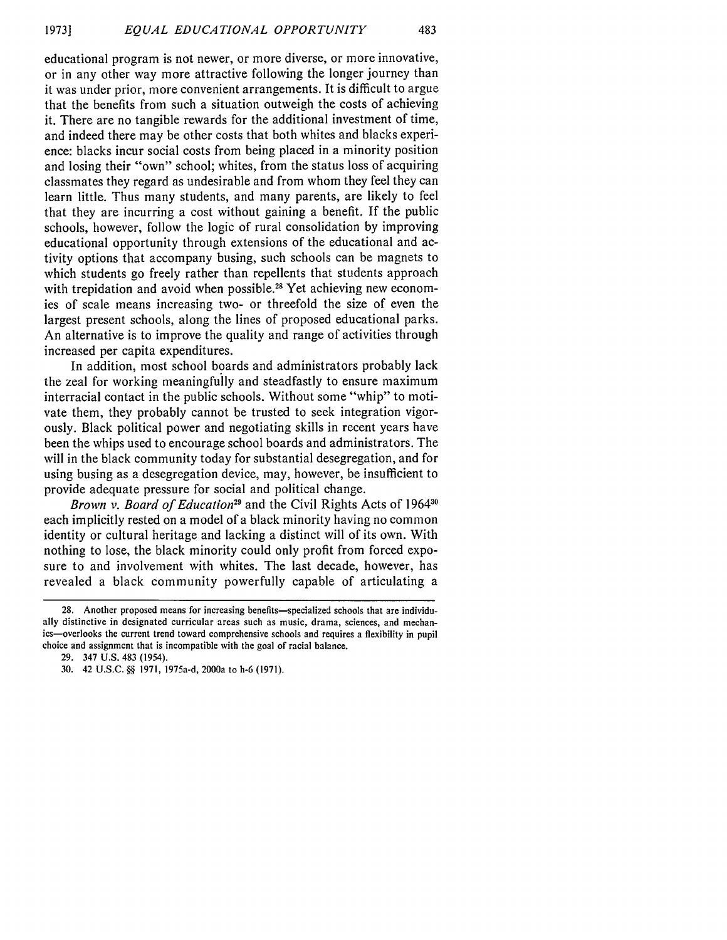educational program is not newer, or more diverse, or more innovative, or in any other way more attractive following the longer journey than it was under prior, more convenient arrangements. It is difficult to argue that the benefits from such a situation outweigh the costs of achieving it. There are no tangible rewards for the additional investment of time, and indeed there may be other costs that both whites and blacks experience: blacks incur social costs from being placed in a minority position and losing their "own" school; whites, from the status loss of acquiring classmates they regard as undesirable and from whom they feel they can learn little. Thus many students, and many parents, are likely to feel that they are incurring a cost without gaining a benefit. If the public schools, however, follow the logic of rural consolidation by improving educational opportunity through extensions of the educational and activity options that accompany busing, such schools can be magnets to which students go freely rather than repellents that students approach with trepidation and avoid when possible.<sup>28</sup> Yet achieving new economies of scale means increasing two- or threefold the size of even the largest present schools, along the lines of proposed educational parks. An alternative is to improve the quality and range of activities through increased per capita expenditures.

In addition, most school boards and administrators probably lack the zeal for working meaningfully and steadfastly to ensure maximum interracial contact in the public schools. Without some "whip" to motivate them, they probably cannot be trusted to seek integration vigorously. Black political power and negotiating skills in recent years have been the whips used to encourage school boards and administrators. The will in the black community today for substantial desegregation, and for using busing as a desegregation device, may, however, be insufficient to provide adequate pressure for social and political change.

Brown v. Board of Education<sup>29</sup> and the Civil Rights Acts of 1964<sup>30</sup> each implicitly rested on a model of a black minority having no common identity or cultural heritage and lacking a distinct will of its own. With nothing to lose, the black minority could only profit from forced exposure to and involvement with whites. The last decade, however, has revealed a black community powerfully capable of articulating a

<sup>28.</sup> Another proposed means for increasing benefits—specialized schools that are individually distinctive in designated curricular areas such as music, drama, sciences, and mechanics-overlooks the current trend toward comprehensive schools and requires a flexibility in pupil choice and assignment that is incompatible with the goal of racial balance.

<sup>29. 347</sup> U.S. 483 (1954).

<sup>30. 42</sup> U.S.C. **§§** 1971, 1975a-d, 2000a to h-6 (1971).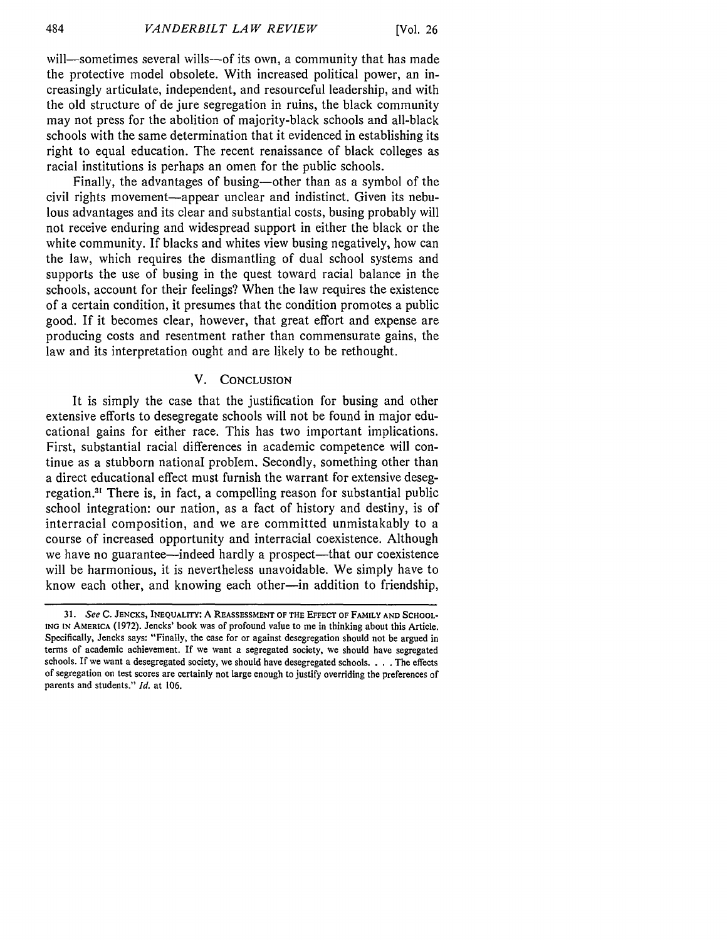will—sometimes several wills—of its own, a community that has made the protective model obsolete. With increased political power, an increasingly articulate, independent, and resourceful leadership, and with the old structure of de jure segregation in ruins, the black community may not press for the abolition of majority-black schools and all-black schools with the same determination that it evidenced in establishing its right to equal education. The recent renaissance of black colleges as racial institutions is perhaps an omen for the public schools.

Finally, the advantages of busing-other than as a symbol of the civil rights movement-appear unclear and indistinct. Given its nebulous advantages and its clear and substantial costs, busing probably will not receive enduring and widespread support in either the black or the white community. If blacks and whites view busing negatively, how can the law, which requires the dismantling of dual school systems and supports the use of busing in the quest toward racial balance in the schools, account for their feelings? When the law requires the existence of a certain condition, it presumes that the condition promotes a public good. If it becomes clear, however, that great effort and expense are producing costs and resentment rather than commensurate gains, the law and its interpretation ought and are likely to be rethought.

#### V. **CONCLUSION**

It is simply the case that the justification for busing and other extensive efforts to desegregate schools will not be found in major educational gains for either race. This has two important implications. First, substantial racial differences in academic competence will continue as a stubborn national problem. Secondly, something other than a direct educational effect must furnish the warrant for extensive desegregation.<sup>31</sup> There is, in fact, a compelling reason for substantial public school integration: our nation, as a fact of history and destiny, is of interracial composition, and we are committed unmistakably to a course of increased opportunity and interracial coexistence. Although we have no guarantee—indeed hardly a prospect—that our coexistence will be harmonious, it is nevertheless unavoidable. We simply have to know each other, and knowing each other-in addition to friendship,

*<sup>31.</sup> See* **C. JENCKS, INEQUALITY: A REASSESSMENT OF THE EFFECT OF FAMILY AND SCHOOL-ING IN** AMERICA (1972). Jencks' book was of profound value to me in thinking about this Article. Specifically, Jencks says: "Finally, the case for or against desegregation should not be argued in terms of academic achievement. If we want a segregated society, we should have segregated schools. If we want a desegregated society, we should have desegregated schools. . **.** .The effects of segregation on test scores are certainly not large enough to justify overriding the preferences of parents and students." *Id.* at 106.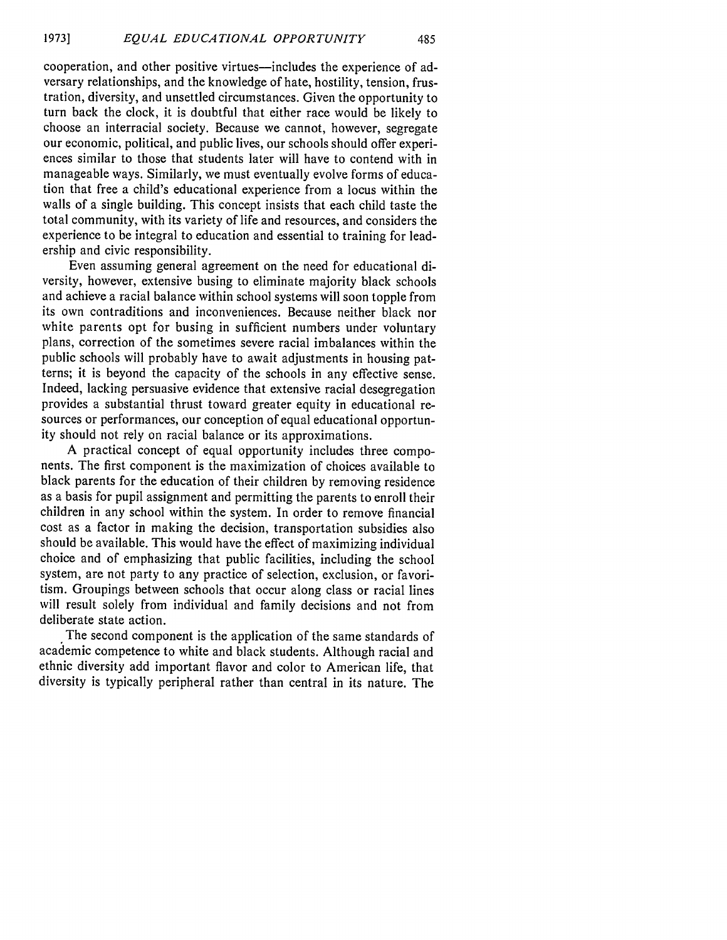cooperation, and other positive virtues-includes the experience of adversary relationships, and the knowledge of hate, hostility, tension, frustration, diversity, and unsettled circumstances. Given the opportunity to turn back the clock, it is doubtful that either race would be likely to choose an interracial society. Because we cannot, however, segregate our economic, political, and public lives, our schools should offer experiences similar to those that students later will have to contend with in manageable ways. Similarly, we must eventually evolve forms of education that free a child's educational experience from a locus within the walls of a single building. This concept insists that each child taste the total community, with its variety of life and resources, and considers the experience to be integral to education and essential to training for leadership and civic responsibility.

Even assuming general agreement on the need for educational diversity, however, extensive busing to eliminate majority black schools and achieve a racial balance within school systems will soon topple from its own contraditions and inconveniences. Because neither black nor white parents opt for busing in sufficient numbers under voluntary plans, correction of the sometimes severe racial imbalances within the public schools will probably have to await adjustments in housing patterns; it is beyond the capacity of the schools in any effective sense. Indeed, lacking persuasive evidence that extensive racial desegregation provides a substantial thrust toward greater equity in educational resources or performances, our conception of equal educational opportunity should not rely on racial balance or its approximations.

A practical concept of equal opportunity includes three components. The first component is the maximization of choices available to black parents for the education of their children by removing residence as a basis for pupil assignment and permitting the parents to enroll their children in any school within the system. In order to remove financial cost as a factor in making the decision, transportation subsidies also should be available. This would have the effect of maximizing individual choice and of emphasizing that public facilities, including the school system, are not party to any practice of selection, exclusion, or favoritism. Groupings between schools that occur along class or racial lines will result solely from individual and family decisions and not from deliberate state action.

The second component is the application of the same standards of academic competence to white and black students. Although racial and ethnic diversity add important flavor and color to American life, that diversity is typically peripheral rather than central in its nature. The